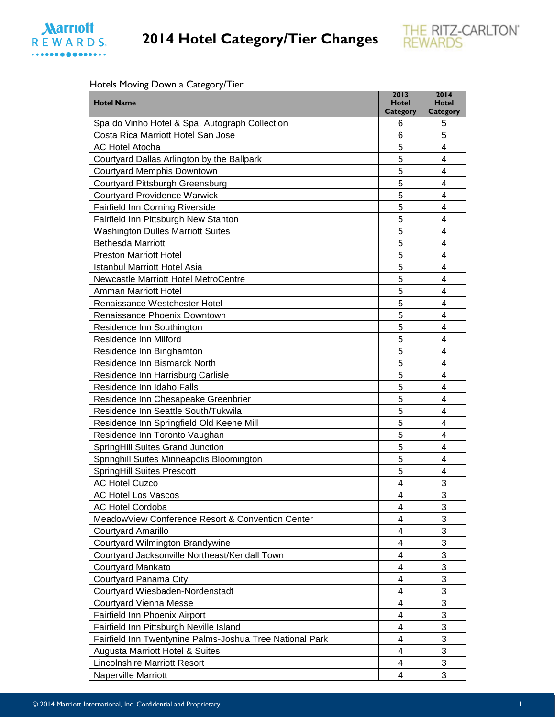



#### Hotels Moving Down a Category/Tier

|                                                          | 2013                 | 2014                      |
|----------------------------------------------------------|----------------------|---------------------------|
| <b>Hotel Name</b>                                        | <b>Hotel</b>         | <b>Hotel</b>              |
| Spa do Vinho Hotel & Spa, Autograph Collection           | <b>Category</b><br>6 | Category<br>5             |
| Costa Rica Marriott Hotel San Jose                       | 6                    | 5                         |
| <b>AC Hotel Atocha</b>                                   | 5                    | 4                         |
| Courtyard Dallas Arlington by the Ballpark               | 5                    | 4                         |
| <b>Courtyard Memphis Downtown</b>                        | 5                    | 4                         |
| <b>Courtyard Pittsburgh Greensburg</b>                   | 5                    | 4                         |
| <b>Courtyard Providence Warwick</b>                      | 5                    | 4                         |
| Fairfield Inn Corning Riverside                          | 5                    | 4                         |
| Fairfield Inn Pittsburgh New Stanton                     | 5                    | 4                         |
| <b>Washington Dulles Marriott Suites</b>                 | 5                    | 4                         |
|                                                          | 5                    |                           |
| <b>Bethesda Marriott</b>                                 |                      | 4                         |
| <b>Preston Marriott Hotel</b>                            | 5                    | 4                         |
| <b>Istanbul Marriott Hotel Asia</b>                      | 5                    | 4                         |
| <b>Newcastle Marriott Hotel MetroCentre</b>              | 5                    | 4                         |
| Amman Marriott Hotel                                     | 5                    | 4                         |
| Renaissance Westchester Hotel                            | 5                    | 4                         |
| Renaissance Phoenix Downtown                             | 5                    | 4                         |
| Residence Inn Southington                                | 5                    | 4                         |
| Residence Inn Milford                                    | 5                    | 4                         |
| Residence Inn Binghamton                                 | 5                    | 4                         |
| Residence Inn Bismarck North                             | 5                    | 4                         |
| Residence Inn Harrisburg Carlisle                        | 5                    | 4                         |
| Residence Inn Idaho Falls                                | 5                    | 4                         |
| Residence Inn Chesapeake Greenbrier                      | 5                    | 4                         |
| Residence Inn Seattle South/Tukwila                      | 5                    | 4                         |
| Residence Inn Springfield Old Keene Mill                 | 5                    | 4                         |
| Residence Inn Toronto Vaughan                            | 5                    | 4                         |
| SpringHill Suites Grand Junction                         | 5                    | 4                         |
| Springhill Suites Minneapolis Bloomington                | 5                    | 4                         |
| <b>SpringHill Suites Prescott</b>                        | 5                    | 4                         |
| <b>AC Hotel Cuzco</b>                                    | $\overline{4}$       | 3                         |
| <b>AC Hotel Los Vascos</b>                               | 4                    | 3                         |
| <b>AC Hotel Cordoba</b>                                  | 4                    | 3                         |
| MeadowView Conference Resort & Convention Center         | 4                    | 3                         |
| Courtyard Amarillo                                       | 4                    | 3                         |
| Courtyard Wilmington Brandywine                          | 4                    | 3                         |
| Courtyard Jacksonville Northeast/Kendall Town            | 4                    | 3                         |
| <b>Courtyard Mankato</b>                                 | 4                    | 3                         |
| Courtyard Panama City                                    | 4                    | 3                         |
| Courtyard Wiesbaden-Nordenstadt                          | 4                    | 3                         |
| <b>Courtyard Vienna Messe</b>                            | 4                    | 3                         |
| Fairfield Inn Phoenix Airport                            | 4                    | 3                         |
| Fairfield Inn Pittsburgh Neville Island                  | 4                    | $\ensuremath{\mathsf{3}}$ |
| Fairfield Inn Twentynine Palms-Joshua Tree National Park | 4                    | 3                         |
| Augusta Marriott Hotel & Suites                          | 4                    | 3                         |
| <b>Lincolnshire Marriott Resort</b>                      | 4                    | 3                         |
| Naperville Marriott                                      | 4                    | 3                         |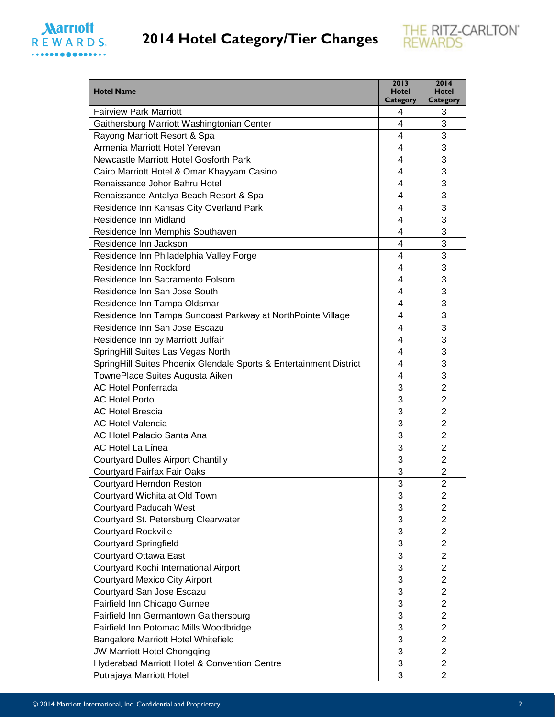



| <b>Hotel Name</b>                                                  | 2013<br><b>Hotel</b> | 2014<br><b>Hotel</b>    |
|--------------------------------------------------------------------|----------------------|-------------------------|
| <b>Fairview Park Marriott</b>                                      | Category<br>4        | Category<br>3           |
| Gaithersburg Marriott Washingtonian Center                         | 4                    | 3                       |
| Rayong Marriott Resort & Spa                                       | 4                    | 3                       |
| Armenia Marriott Hotel Yerevan                                     | 4                    | 3                       |
| Newcastle Marriott Hotel Gosforth Park                             | 4                    | 3                       |
| Cairo Marriott Hotel & Omar Khayyam Casino                         | 4                    | 3                       |
| Renaissance Johor Bahru Hotel                                      | 4                    | 3                       |
| Renaissance Antalya Beach Resort & Spa                             | 4                    | 3                       |
| Residence Inn Kansas City Overland Park                            | 4                    | 3                       |
| Residence Inn Midland                                              | 4                    | 3                       |
| Residence Inn Memphis Southaven                                    | 4                    | 3                       |
| Residence Inn Jackson                                              | 4                    | 3                       |
| Residence Inn Philadelphia Valley Forge                            | 4                    | 3                       |
| Residence Inn Rockford                                             | 4                    | 3                       |
| Residence Inn Sacramento Folsom                                    | 4                    | 3                       |
| Residence Inn San Jose South                                       | 4                    | 3                       |
| Residence Inn Tampa Oldsmar                                        | 4                    | 3                       |
| Residence Inn Tampa Suncoast Parkway at NorthPointe Village        | 4                    | 3                       |
| Residence Inn San Jose Escazu                                      | 4                    | 3                       |
| Residence Inn by Marriott Juffair                                  | 4                    | 3                       |
| SpringHill Suites Las Vegas North                                  | 4                    | 3                       |
| SpringHill Suites Phoenix Glendale Sports & Entertainment District | 4                    | 3                       |
| TownePlace Suites Augusta Aiken                                    | 4                    | 3                       |
| <b>AC Hotel Ponferrada</b>                                         | 3                    | $\overline{2}$          |
| <b>AC Hotel Porto</b>                                              | 3                    | $\overline{2}$          |
| <b>AC Hotel Brescia</b>                                            | 3                    | $\overline{2}$          |
| <b>AC Hotel Valencia</b>                                           | 3                    | $\overline{2}$          |
| AC Hotel Palacio Santa Ana                                         | 3                    | $\overline{2}$          |
| AC Hotel La Línea                                                  | 3                    | $\overline{2}$          |
| <b>Courtyard Dulles Airport Chantilly</b>                          | 3                    | $\overline{2}$          |
| Courtyard Fairfax Fair Oaks                                        | 3                    | $\overline{2}$          |
| Courtyard Herndon Reston                                           | 3                    | $\overline{\mathbf{c}}$ |
| Courtyard Wichita at Old Town                                      | 3                    | $\overline{2}$          |
| <b>Courtyard Paducah West</b>                                      | 3                    | $\overline{2}$          |
| Courtyard St. Petersburg Clearwater                                | 3                    | $\overline{c}$          |
| <b>Courtyard Rockville</b>                                         | 3                    | $\overline{2}$          |
| <b>Courtyard Springfield</b>                                       | 3                    | $\overline{2}$          |
| Courtyard Ottawa East                                              | 3                    | $\overline{\mathbf{c}}$ |
| Courtyard Kochi International Airport                              | 3                    | 2                       |
| <b>Courtyard Mexico City Airport</b>                               | 3                    | $\overline{2}$          |
| Courtyard San Jose Escazu                                          | 3                    | $\overline{2}$          |
| Fairfield Inn Chicago Gurnee                                       | 3                    | $\overline{2}$          |
| Fairfield Inn Germantown Gaithersburg                              | 3                    | $\overline{2}$          |
| Fairfield Inn Potomac Mills Woodbridge                             | 3                    | $\overline{2}$          |
| Bangalore Marriott Hotel Whitefield                                | 3                    | $\overline{2}$          |
| <b>JW Marriott Hotel Chongqing</b>                                 | 3                    | $\overline{2}$          |
| Hyderabad Marriott Hotel & Convention Centre                       | 3                    | $\overline{2}$          |
| Putrajaya Marriott Hotel                                           | 3                    | $\overline{2}$          |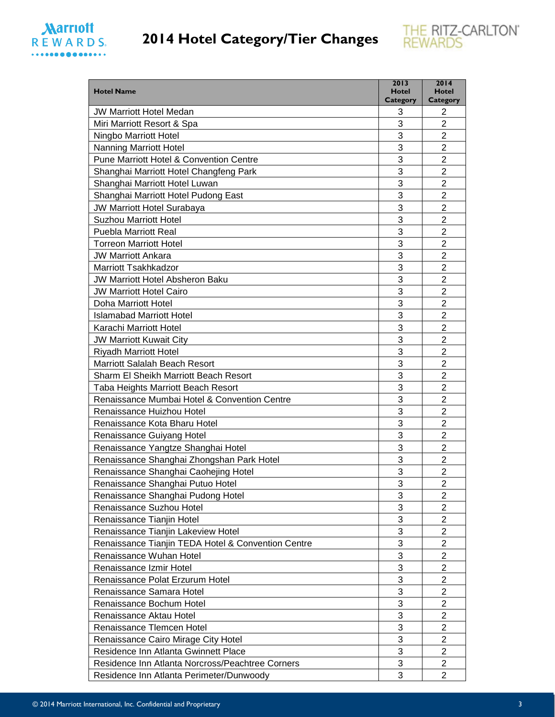



| <b>Hotel Name</b>                                  | 2013<br><b>Hotel</b><br><b>Category</b> | 2014<br><b>Hotel</b><br>Category |
|----------------------------------------------------|-----------------------------------------|----------------------------------|
| <b>JW Marriott Hotel Medan</b>                     | 3                                       | 2                                |
| Miri Marriott Resort & Spa                         | 3                                       | $\overline{2}$                   |
| Ningbo Marriott Hotel                              | 3                                       | $\overline{2}$                   |
| Nanning Marriott Hotel                             | 3                                       | $\overline{2}$                   |
| Pune Marriott Hotel & Convention Centre            | 3                                       | $\overline{2}$                   |
| Shanghai Marriott Hotel Changfeng Park             | 3                                       | $\overline{2}$                   |
| Shanghai Marriott Hotel Luwan                      | 3                                       | $\overline{2}$                   |
| Shanghai Marriott Hotel Pudong East                | 3                                       | $\overline{2}$                   |
| <b>JW Marriott Hotel Surabaya</b>                  | 3                                       | $\overline{2}$                   |
| <b>Suzhou Marriott Hotel</b>                       | 3                                       | $\overline{2}$                   |
| <b>Puebla Marriott Real</b>                        | 3                                       | $\overline{2}$                   |
| <b>Torreon Marriott Hotel</b>                      | 3                                       | $\overline{2}$                   |
| <b>JW Marriott Ankara</b>                          | 3                                       | $\overline{2}$                   |
| Marriott Tsakhkadzor                               | 3                                       | $\overline{2}$                   |
| <b>JW Marriott Hotel Absheron Baku</b>             | 3                                       | $\overline{2}$                   |
| <b>JW Marriott Hotel Cairo</b>                     | 3                                       | $\overline{2}$                   |
| <b>Doha Marriott Hotel</b>                         | 3                                       | 2                                |
| <b>Islamabad Marriott Hotel</b>                    | 3                                       | $\overline{2}$                   |
| Karachi Marriott Hotel                             | 3                                       | $\overline{2}$                   |
| <b>JW Marriott Kuwait City</b>                     | 3                                       | $\overline{2}$                   |
| <b>Riyadh Marriott Hotel</b>                       | 3                                       | $\overline{c}$                   |
| Marriott Salalah Beach Resort                      | 3                                       | $\overline{2}$                   |
| Sharm El Sheikh Marriott Beach Resort              | 3                                       | $\overline{2}$                   |
| Taba Heights Marriott Beach Resort                 | 3                                       | $\overline{c}$                   |
| Renaissance Mumbai Hotel & Convention Centre       | 3                                       | $\overline{2}$                   |
| Renaissance Huizhou Hotel                          | 3                                       | $\overline{2}$                   |
| Renaissance Kota Bharu Hotel                       | 3                                       | 2                                |
| Renaissance Guiyang Hotel                          | 3                                       | $\overline{2}$                   |
| Renaissance Yangtze Shanghai Hotel                 | 3                                       | 2                                |
| Renaissance Shanghai Zhongshan Park Hotel          | 3                                       | 2                                |
| Renaissance Shanghai Caohejing Hotel               | 3                                       | $\overline{2}$                   |
| Renaissance Shanghai Putuo Hotel                   | 3                                       | $\overline{c}$                   |
| Renaissance Shanghai Pudong Hotel                  | 3                                       | 2                                |
| Renaissance Suzhou Hotel                           | 3                                       | 2                                |
| Renaissance Tianjin Hotel                          | 3                                       | $\overline{2}$                   |
| Renaissance Tianjin Lakeview Hotel                 | 3                                       | $\overline{c}$                   |
| Renaissance Tianjin TEDA Hotel & Convention Centre | 3                                       | $\overline{2}$                   |
| Renaissance Wuhan Hotel                            | 3                                       | $\overline{2}$                   |
| Renaissance Izmir Hotel                            | 3                                       | $\overline{2}$                   |
| Renaissance Polat Erzurum Hotel                    | 3                                       | $\overline{2}$                   |
| Renaissance Samara Hotel                           | 3                                       | $\overline{2}$                   |
| Renaissance Bochum Hotel                           | 3                                       | 2                                |
| Renaissance Aktau Hotel                            | 3                                       | $\overline{2}$                   |
| Renaissance Tlemcen Hotel                          | 3                                       | $\overline{2}$                   |
| Renaissance Cairo Mirage City Hotel                | 3                                       | $\overline{2}$                   |
| Residence Inn Atlanta Gwinnett Place               | 3                                       | $\overline{2}$                   |
| Residence Inn Atlanta Norcross/Peachtree Corners   | 3                                       | 2                                |
| Residence Inn Atlanta Perimeter/Dunwoody           | 3                                       | $\overline{2}$                   |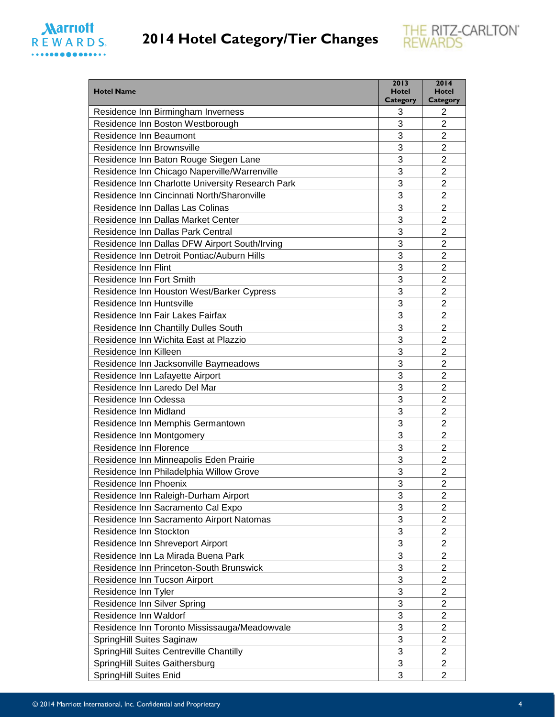



| <b>Hotel Name</b>                                | 2013<br><b>Hotel</b><br><b>Category</b> | 2014<br><b>Hotel</b><br><b>Category</b> |
|--------------------------------------------------|-----------------------------------------|-----------------------------------------|
| Residence Inn Birmingham Inverness               | 3                                       | 2                                       |
| Residence Inn Boston Westborough                 | 3                                       | $\overline{2}$                          |
| Residence Inn Beaumont                           | 3                                       | $\overline{2}$                          |
| Residence Inn Brownsville                        | 3                                       | $\overline{2}$                          |
| Residence Inn Baton Rouge Siegen Lane            | 3                                       | $\overline{2}$                          |
| Residence Inn Chicago Naperville/Warrenville     | 3                                       | $\overline{2}$                          |
| Residence Inn Charlotte University Research Park | 3                                       | $\overline{2}$                          |
| Residence Inn Cincinnati North/Sharonville       | 3                                       | $\overline{2}$                          |
| Residence Inn Dallas Las Colinas                 | 3                                       | $\overline{2}$                          |
| Residence Inn Dallas Market Center               | 3                                       | $\overline{2}$                          |
| Residence Inn Dallas Park Central                | 3                                       | $\overline{2}$                          |
| Residence Inn Dallas DFW Airport South/Irving    | 3                                       | $\overline{2}$                          |
| Residence Inn Detroit Pontiac/Auburn Hills       | 3                                       | $\overline{2}$                          |
| Residence Inn Flint                              | 3                                       | $\overline{2}$                          |
| Residence Inn Fort Smith                         | 3                                       | $\overline{2}$                          |
| Residence Inn Houston West/Barker Cypress        | 3                                       | $\overline{2}$                          |
| Residence Inn Huntsville                         | 3                                       | $\overline{2}$                          |
| Residence Inn Fair Lakes Fairfax                 | 3                                       | 2                                       |
| Residence Inn Chantilly Dulles South             | 3                                       | $\overline{2}$                          |
| Residence Inn Wichita East at Plazzio            | 3                                       | $\overline{2}$                          |
| Residence Inn Killeen                            | 3                                       | $\overline{2}$                          |
| Residence Inn Jacksonville Baymeadows            | 3                                       | $\overline{2}$                          |
| Residence Inn Lafayette Airport                  | 3                                       | $\overline{2}$                          |
| Residence Inn Laredo Del Mar                     | 3                                       | $\overline{2}$                          |
| Residence Inn Odessa                             | 3                                       | $\overline{2}$                          |
| Residence Inn Midland                            | 3                                       | 2                                       |
| Residence Inn Memphis Germantown                 | 3                                       | $\overline{2}$                          |
| Residence Inn Montgomery                         | 3                                       | $\overline{2}$                          |
| Residence Inn Florence                           | 3                                       | $\overline{2}$                          |
| Residence Inn Minneapolis Eden Prairie           | 3                                       | $\overline{2}$                          |
| Residence Inn Philadelphia Willow Grove          | 3                                       | $\overline{2}$                          |
| Residence Inn Phoenix                            | 3                                       | $\overline{2}$                          |
| Residence Inn Raleigh-Durham Airport             | 3                                       | 2                                       |
| Residence Inn Sacramento Cal Expo                | 3                                       | $\overline{2}$                          |
| Residence Inn Sacramento Airport Natomas         | 3                                       | $\overline{2}$                          |
| Residence Inn Stockton                           | 3                                       | $\overline{2}$                          |
| Residence Inn Shreveport Airport                 | 3                                       | $\overline{2}$                          |
| Residence Inn La Mirada Buena Park               | 3                                       | $\overline{2}$                          |
| Residence Inn Princeton-South Brunswick          | 3                                       | $\overline{c}$                          |
| Residence Inn Tucson Airport                     | 3                                       | $\overline{2}$                          |
| Residence Inn Tyler                              | 3                                       | $\overline{2}$                          |
| Residence Inn Silver Spring                      | 3                                       | $\overline{2}$                          |
| Residence Inn Waldorf                            | 3                                       | $\overline{2}$                          |
| Residence Inn Toronto Mississauga/Meadowvale     | 3                                       | $\overline{2}$                          |
| SpringHill Suites Saginaw                        | 3                                       | $\overline{c}$                          |
| SpringHill Suites Centreville Chantilly          | 3                                       | $\overline{2}$                          |
| SpringHill Suites Gaithersburg                   | 3                                       | $\overline{2}$                          |
| SpringHill Suites Enid                           | 3                                       | $\overline{2}$                          |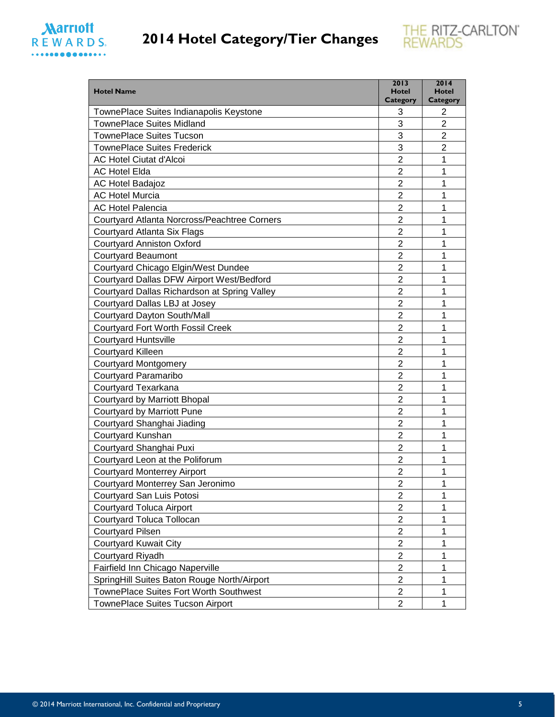



| <b>Hotel Name</b>                            | 2013<br><b>Hotel</b><br><b>Category</b> | 2014<br><b>Hotel</b><br>Category |
|----------------------------------------------|-----------------------------------------|----------------------------------|
| TownePlace Suites Indianapolis Keystone      | 3                                       | 2                                |
| <b>TownePlace Suites Midland</b>             | 3                                       | $\overline{2}$                   |
| <b>TownePlace Suites Tucson</b>              | 3                                       | $\overline{2}$                   |
| <b>TownePlace Suites Frederick</b>           | 3                                       | $\overline{2}$                   |
| <b>AC Hotel Ciutat d'Alcoi</b>               | 2                                       | 1                                |
| <b>AC Hotel Elda</b>                         | 2                                       | 1                                |
| <b>AC Hotel Badajoz</b>                      | 2                                       | 1                                |
| <b>AC Hotel Murcia</b>                       | $\overline{2}$                          | 1                                |
| <b>AC Hotel Palencia</b>                     | $\overline{2}$                          | 1                                |
| Courtyard Atlanta Norcross/Peachtree Corners | 2                                       | 1                                |
| Courtyard Atlanta Six Flags                  | $\overline{2}$                          | 1                                |
| <b>Courtyard Anniston Oxford</b>             | $\overline{2}$                          | 1                                |
| Courtyard Beaumont                           | $\overline{2}$                          | 1                                |
| Courtyard Chicago Elgin/West Dundee          | $\overline{2}$                          | 1                                |
| Courtyard Dallas DFW Airport West/Bedford    | $\overline{2}$                          | 1                                |
| Courtyard Dallas Richardson at Spring Valley | 2                                       | 1                                |
| Courtyard Dallas LBJ at Josey                | $\overline{2}$                          | 1                                |
| Courtyard Dayton South/Mall                  | $\overline{2}$                          | 1                                |
| <b>Courtyard Fort Worth Fossil Creek</b>     | 2                                       | 1                                |
| <b>Courtyard Huntsville</b>                  | $\overline{2}$                          | 1                                |
| <b>Courtyard Killeen</b>                     | $\overline{2}$                          | 1                                |
| <b>Courtyard Montgomery</b>                  | $\overline{2}$                          | 1                                |
| Courtyard Paramaribo                         | $\overline{2}$                          | 1                                |
| Courtyard Texarkana                          | $\overline{2}$                          | 1                                |
| Courtyard by Marriott Bhopal                 | 2                                       | 1                                |
| <b>Courtyard by Marriott Pune</b>            | $\overline{2}$                          | 1                                |
| Courtyard Shanghai Jiading                   | $\overline{2}$                          | 1                                |
| Courtyard Kunshan                            | $\overline{2}$                          | 1                                |
| Courtyard Shanghai Puxi                      | 2                                       | 1                                |
| Courtyard Leon at the Poliforum              | $\overline{2}$                          | 1                                |
| <b>Courtyard Monterrey Airport</b>           | $\overline{c}$                          | 1                                |
| Courtyard Monterrey San Jeronimo             | $\overline{\mathbf{c}}$                 | 1                                |
| Courtyard San Luis Potosi                    | $\overline{2}$                          | 1                                |
| <b>Courtyard Toluca Airport</b>              | $\overline{2}$                          | 1                                |
| Courtyard Toluca Tollocan                    | $\overline{2}$                          | 1                                |
| <b>Courtyard Pilsen</b>                      | $\overline{2}$                          | 1                                |
| <b>Courtyard Kuwait City</b>                 | $\overline{2}$                          | 1                                |
| Courtyard Riyadh                             | $\overline{2}$                          | 1                                |
| Fairfield Inn Chicago Naperville             | $\overline{2}$                          | 1                                |
| SpringHill Suites Baton Rouge North/Airport  | $\overline{2}$                          | 1                                |
| TownePlace Suites Fort Worth Southwest       | $\overline{2}$                          | 1                                |
| TownePlace Suites Tucson Airport             | $\overline{2}$                          | 1                                |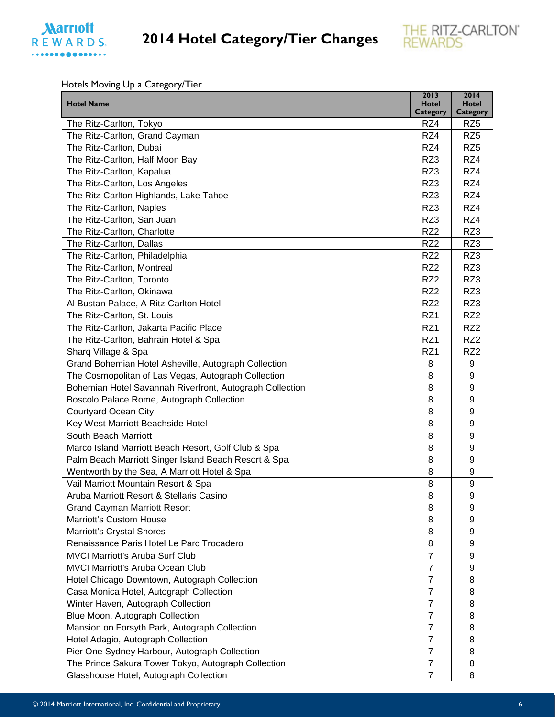



Hotels Moving Up a Category/Tier

|                                                          | 2013                            | 2014                            |
|----------------------------------------------------------|---------------------------------|---------------------------------|
| <b>Hotel Name</b>                                        | <b>Hotel</b><br><b>Category</b> | <b>Hotel</b><br><b>Category</b> |
| The Ritz-Carlton, Tokyo                                  | RZ4                             | RZ <sub>5</sub>                 |
| The Ritz-Carlton, Grand Cayman                           | RZ4                             | RZ <sub>5</sub>                 |
| The Ritz-Carlton, Dubai                                  | RZ4                             | RZ <sub>5</sub>                 |
| The Ritz-Carlton, Half Moon Bay                          | RZ3                             | RZ4                             |
| The Ritz-Carlton, Kapalua                                | RZ3                             | RZ4                             |
| The Ritz-Carlton, Los Angeles                            | RZ3                             | RZ4                             |
| The Ritz-Carlton Highlands, Lake Tahoe                   | RZ3                             | RZ4                             |
| The Ritz-Carlton, Naples                                 | RZ3                             | RZ4                             |
| The Ritz-Carlton, San Juan                               | RZ3                             | RZ4                             |
| The Ritz-Carlton, Charlotte                              | RZ <sub>2</sub>                 | RZ3                             |
| The Ritz-Carlton, Dallas                                 | RZ <sub>2</sub>                 | RZ3                             |
| The Ritz-Carlton, Philadelphia                           | RZ <sub>2</sub>                 | RZ3                             |
| The Ritz-Carlton, Montreal                               | RZ <sub>2</sub>                 | RZ3                             |
| The Ritz-Carlton, Toronto                                | RZ <sub>2</sub>                 | RZ3                             |
| The Ritz-Carlton, Okinawa                                | RZ <sub>2</sub>                 | RZ3                             |
| Al Bustan Palace, A Ritz-Carlton Hotel                   | RZ <sub>2</sub>                 | RZ3                             |
| The Ritz-Carlton, St. Louis                              | RZ1                             | RZ <sub>2</sub>                 |
| The Ritz-Carlton, Jakarta Pacific Place                  | RZ1                             | RZ <sub>2</sub>                 |
| The Ritz-Carlton, Bahrain Hotel & Spa                    | RZ1                             | RZ <sub>2</sub>                 |
| Sharq Village & Spa                                      | RZ1                             | RZ <sub>2</sub>                 |
| Grand Bohemian Hotel Asheville, Autograph Collection     | 8                               | 9                               |
| The Cosmopolitan of Las Vegas, Autograph Collection      | 8                               | 9                               |
| Bohemian Hotel Savannah Riverfront, Autograph Collection | 8                               | 9                               |
| Boscolo Palace Rome, Autograph Collection                | 8                               | 9                               |
| <b>Courtyard Ocean City</b>                              | 8                               | 9                               |
| Key West Marriott Beachside Hotel                        | 8                               | 9                               |
| South Beach Marriott                                     | 8                               | 9                               |
| Marco Island Marriott Beach Resort, Golf Club & Spa      | 8                               | 9                               |
| Palm Beach Marriott Singer Island Beach Resort & Spa     | 8                               | 9                               |
| Wentworth by the Sea, A Marriott Hotel & Spa             | 8                               | 9                               |
| Vail Marriott Mountain Resort & Spa                      | 8                               | 9                               |
| Aruba Marriott Resort & Stellaris Casino                 | 8                               | $\boldsymbol{9}$                |
| <b>Grand Cayman Marriott Resort</b>                      | 8                               | 9                               |
| <b>Marriott's Custom House</b>                           | 8                               | 9                               |
| <b>Marriott's Crystal Shores</b>                         | 8                               | 9                               |
| Renaissance Paris Hotel Le Parc Trocadero                | 8                               | 9                               |
| <b>MVCI Marriott's Aruba Surf Club</b>                   | $\overline{7}$                  | 9                               |
| <b>MVCI Marriott's Aruba Ocean Club</b>                  | $\overline{7}$                  | 9                               |
| Hotel Chicago Downtown, Autograph Collection             | $\overline{7}$                  | 8                               |
| Casa Monica Hotel, Autograph Collection                  | 7                               | 8                               |
| Winter Haven, Autograph Collection                       | $\overline{7}$                  | 8                               |
| Blue Moon, Autograph Collection                          | $\overline{7}$                  | 8                               |
| Mansion on Forsyth Park, Autograph Collection            | 7                               | 8                               |
| Hotel Adagio, Autograph Collection                       | $\overline{7}$                  | 8                               |
| Pier One Sydney Harbour, Autograph Collection            | $\overline{7}$                  | 8                               |
| The Prince Sakura Tower Tokyo, Autograph Collection      | $\overline{7}$                  | 8                               |
| Glasshouse Hotel, Autograph Collection                   | $\overline{7}$                  | 8                               |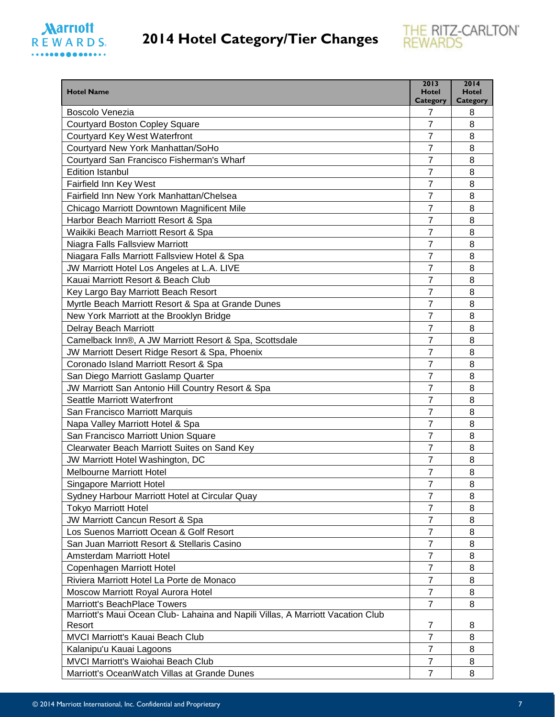### **Marriott** REWARDS. ..............



| <b>Hotel Name</b>                                                               | 2013<br><b>Hotel</b> | 2014<br><b>Hotel</b> |
|---------------------------------------------------------------------------------|----------------------|----------------------|
| Boscolo Venezia                                                                 | <b>Category</b><br>7 | Category<br>8        |
| <b>Courtyard Boston Copley Square</b>                                           | $\overline{7}$       | 8                    |
| Courtyard Key West Waterfront                                                   | 7                    | 8                    |
| Courtyard New York Manhattan/SoHo                                               | 7                    | 8                    |
| Courtyard San Francisco Fisherman's Wharf                                       | 7                    | 8                    |
| <b>Edition Istanbul</b>                                                         | 7                    | 8                    |
| Fairfield Inn Key West                                                          | 7                    | 8                    |
| Fairfield Inn New York Manhattan/Chelsea                                        | 7                    | 8                    |
| Chicago Marriott Downtown Magnificent Mile                                      | 7                    | 8                    |
| Harbor Beach Marriott Resort & Spa                                              | 7                    | 8                    |
| Waikiki Beach Marriott Resort & Spa                                             | $\overline{7}$       | 8                    |
| Niagra Falls Fallsview Marriott                                                 | $\overline{7}$       | 8                    |
| Niagara Falls Marriott Fallsview Hotel & Spa                                    | 7                    | 8                    |
| JW Marriott Hotel Los Angeles at L.A. LIVE                                      | $\overline{7}$       | 8                    |
| Kauai Marriott Resort & Beach Club                                              | 7                    | 8                    |
| Key Largo Bay Marriott Beach Resort                                             | 7                    | 8                    |
| Myrtle Beach Marriott Resort & Spa at Grande Dunes                              | 7                    | 8                    |
| New York Marriott at the Brooklyn Bridge                                        | 7                    | 8                    |
| <b>Delray Beach Marriott</b>                                                    | 7                    | 8                    |
| Camelback Inn®, A JW Marriott Resort & Spa, Scottsdale                          | 7                    | 8                    |
| JW Marriott Desert Ridge Resort & Spa, Phoenix                                  | $\overline{7}$       | 8                    |
| Coronado Island Marriott Resort & Spa                                           | 7                    | 8                    |
| San Diego Marriott Gaslamp Quarter                                              | 7                    | 8                    |
| JW Marriott San Antonio Hill Country Resort & Spa                               | $\overline{7}$       | 8                    |
| Seattle Marriott Waterfront                                                     | 7                    | 8                    |
| San Francisco Marriott Marquis                                                  | $\overline{7}$       | 8                    |
| Napa Valley Marriott Hotel & Spa                                                | 7                    | 8                    |
| San Francisco Marriott Union Square                                             | 7                    | 8                    |
| Clearwater Beach Marriott Suites on Sand Key                                    | $\overline{7}$       | 8                    |
| JW Marriott Hotel Washington, DC                                                | 7                    | 8                    |
| <b>Melbourne Marriott Hotel</b>                                                 | 7                    | 8                    |
| Singapore Marriott Hotel                                                        | 7                    | 8                    |
| Sydney Harbour Marriott Hotel at Circular Quay                                  | 7                    | 8                    |
| <b>Tokyo Marriott Hotel</b>                                                     | 7                    | 8                    |
| JW Marriott Cancun Resort & Spa                                                 | 7                    | 8                    |
| Los Suenos Marriott Ocean & Golf Resort                                         | $\overline{7}$       | 8                    |
| San Juan Marriott Resort & Stellaris Casino                                     | $\overline{7}$       | 8                    |
| Amsterdam Marriott Hotel                                                        | $\overline{7}$       | 8                    |
| Copenhagen Marriott Hotel                                                       | $\overline{7}$       | 8                    |
| Riviera Marriott Hotel La Porte de Monaco                                       | $\overline{7}$       | 8                    |
| Moscow Marriott Royal Aurora Hotel                                              | $\overline{7}$       | 8                    |
| Marriott's BeachPlace Towers                                                    | $\overline{7}$       | 8                    |
| Marriott's Maui Ocean Club- Lahaina and Napili Villas, A Marriott Vacation Club |                      |                      |
| Resort                                                                          | 7                    | 8                    |
| <b>MVCI Marriott's Kauai Beach Club</b>                                         | $\overline{7}$       | 8                    |
| Kalanipu'u Kauai Lagoons                                                        | 7                    | 8                    |
| <b>MVCI Marriott's Waiohai Beach Club</b>                                       | $\overline{7}$       | 8                    |
| Marriott's OceanWatch Villas at Grande Dunes                                    | $\overline{7}$       | 8                    |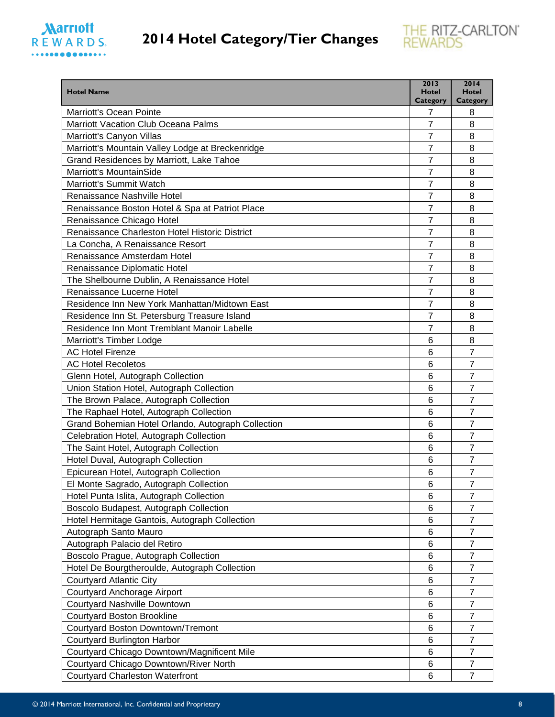

| <b>Hotel Name</b>                                                           | 2013<br><b>Hotel</b> | 2014<br><b>Hotel</b> |
|-----------------------------------------------------------------------------|----------------------|----------------------|
| <b>Marriott's Ocean Pointe</b>                                              | Category             | Category             |
| <b>Marriott Vacation Club Oceana Palms</b>                                  | 7<br>$\overline{7}$  | 8<br>8               |
| Marriott's Canyon Villas                                                    | 7                    | 8                    |
| Marriott's Mountain Valley Lodge at Breckenridge                            | 7                    | 8                    |
| Grand Residences by Marriott, Lake Tahoe                                    | 7                    | 8                    |
| <b>Marriott's MountainSide</b>                                              | 7                    | 8                    |
| <b>Marriott's Summit Watch</b>                                              | 7                    | 8                    |
| Renaissance Nashville Hotel                                                 | 7                    | 8                    |
| Renaissance Boston Hotel & Spa at Patriot Place                             | 7                    | 8                    |
|                                                                             | 7                    | 8                    |
| Renaissance Chicago Hotel<br>Renaissance Charleston Hotel Historic District | $\overline{7}$       | 8                    |
| La Concha, A Renaissance Resort                                             | $\overline{7}$       | 8                    |
|                                                                             | 7                    |                      |
| Renaissance Amsterdam Hotel                                                 | $\overline{7}$       | 8<br>8               |
| Renaissance Diplomatic Hotel                                                |                      | 8                    |
| The Shelbourne Dublin, A Renaissance Hotel                                  | 7                    |                      |
| Renaissance Lucerne Hotel                                                   | 7                    | 8                    |
| Residence Inn New York Manhattan/Midtown East                               | 7                    | 8                    |
| Residence Inn St. Petersburg Treasure Island                                | 7                    | 8                    |
| Residence Inn Mont Tremblant Manoir Labelle                                 | 7                    | 8                    |
| Marriott's Timber Lodge                                                     | 6                    | 8                    |
| <b>AC Hotel Firenze</b>                                                     | 6                    | $\overline{7}$       |
| <b>AC Hotel Recoletos</b>                                                   | 6                    | $\overline{7}$       |
| Glenn Hotel, Autograph Collection                                           | 6                    | $\overline{7}$       |
| Union Station Hotel, Autograph Collection                                   | 6                    | $\overline{7}$       |
| The Brown Palace, Autograph Collection                                      | 6                    | 7                    |
| The Raphael Hotel, Autograph Collection                                     | 6                    | $\overline{7}$       |
| Grand Bohemian Hotel Orlando, Autograph Collection                          | 6                    | $\overline{7}$       |
| Celebration Hotel, Autograph Collection                                     | 6                    | 7                    |
| The Saint Hotel, Autograph Collection                                       | 6                    | $\overline{7}$       |
| Hotel Duval, Autograph Collection                                           | 6                    | 7                    |
| Epicurean Hotel, Autograph Collection                                       | 6                    | 7                    |
| El Monte Sagrado, Autograph Collection                                      | 6                    | $\overline{7}$       |
| Hotel Punta Islita, Autograph Collection                                    | 6                    | $\overline{7}$       |
| Boscolo Budapest, Autograph Collection                                      | 6                    | $\overline{7}$       |
| Hotel Hermitage Gantois, Autograph Collection                               | 6                    | 7                    |
| Autograph Santo Mauro                                                       | 6                    | $\overline{7}$       |
| Autograph Palacio del Retiro                                                | 6                    | $\overline{7}$       |
| Boscolo Prague, Autograph Collection                                        | 6                    | $\overline{7}$       |
| Hotel De Bourgtheroulde, Autograph Collection                               | 6                    | 7                    |
| <b>Courtyard Atlantic City</b>                                              | 6                    | 7                    |
| Courtyard Anchorage Airport                                                 | 6                    | $\overline{7}$       |
| Courtyard Nashville Downtown                                                | 6                    | $\overline{7}$       |
| <b>Courtyard Boston Brookline</b>                                           | 6                    | $\overline{7}$       |
| Courtyard Boston Downtown/Tremont                                           | 6                    | $\overline{7}$       |
| <b>Courtyard Burlington Harbor</b>                                          | 6                    | $\overline{7}$       |
| Courtyard Chicago Downtown/Magnificent Mile                                 | 6                    | $\overline{7}$       |
| Courtyard Chicago Downtown/River North                                      | 6                    | $\overline{7}$       |
| <b>Courtyard Charleston Waterfront</b>                                      | 6                    | $\overline{7}$       |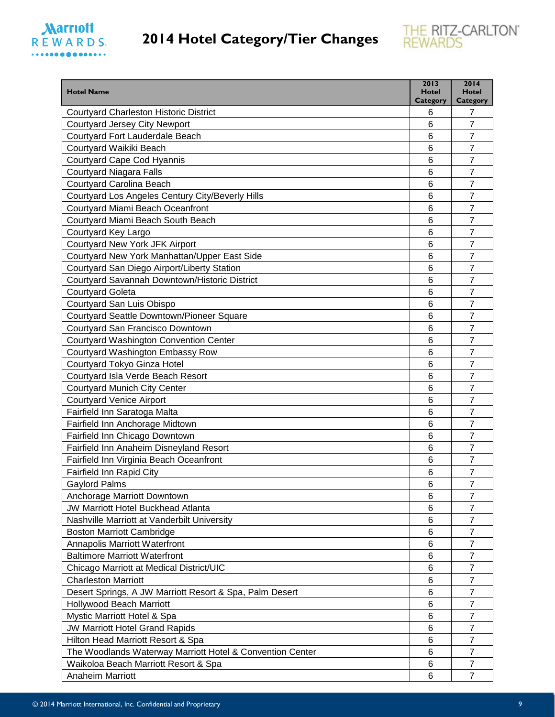



| <b>Hotel Name</b>                                         | 2013<br><b>Hotel</b><br><b>Category</b> | 2014<br><b>Hotel</b><br><b>Category</b> |
|-----------------------------------------------------------|-----------------------------------------|-----------------------------------------|
| <b>Courtyard Charleston Historic District</b>             | 6                                       | 7                                       |
| <b>Courtyard Jersey City Newport</b>                      | 6                                       | $\overline{7}$                          |
| Courtyard Fort Lauderdale Beach                           | 6                                       | $\overline{7}$                          |
| Courtyard Waikiki Beach                                   | 6                                       | $\overline{7}$                          |
| Courtyard Cape Cod Hyannis                                | 6                                       | $\overline{7}$                          |
| <b>Courtyard Niagara Falls</b>                            | 6                                       | $\overline{7}$                          |
| Courtyard Carolina Beach                                  | 6                                       | $\overline{7}$                          |
| Courtyard Los Angeles Century City/Beverly Hills          | 6                                       | $\overline{7}$                          |
| Courtyard Miami Beach Oceanfront                          | 6                                       | $\overline{7}$                          |
| Courtyard Miami Beach South Beach                         | 6                                       | $\overline{7}$                          |
| Courtyard Key Largo                                       | 6                                       | $\overline{7}$                          |
| Courtyard New York JFK Airport                            | 6                                       | $\overline{7}$                          |
| Courtyard New York Manhattan/Upper East Side              | $6\phantom{1}6$                         | $\overline{7}$                          |
| Courtyard San Diego Airport/Liberty Station               | 6                                       | $\overline{7}$                          |
| Courtyard Savannah Downtown/Historic District             | 6                                       | $\overline{7}$                          |
| <b>Courtyard Goleta</b>                                   | 6                                       | $\overline{7}$                          |
| Courtyard San Luis Obispo                                 | 6                                       | $\overline{7}$                          |
| Courtyard Seattle Downtown/Pioneer Square                 | 6                                       | $\overline{7}$                          |
| Courtyard San Francisco Downtown                          | 6                                       | $\overline{7}$                          |
| <b>Courtyard Washington Convention Center</b>             | 6                                       | $\overline{7}$                          |
| Courtyard Washington Embassy Row                          | 6                                       | $\overline{7}$                          |
| Courtyard Tokyo Ginza Hotel                               | 6                                       | $\overline{7}$                          |
| Courtyard Isla Verde Beach Resort                         | 6                                       | $\overline{7}$                          |
| <b>Courtyard Munich City Center</b>                       | 6                                       | $\overline{7}$                          |
| <b>Courtyard Venice Airport</b>                           | 6                                       | $\overline{7}$                          |
| Fairfield Inn Saratoga Malta                              | 6                                       | $\overline{7}$                          |
| Fairfield Inn Anchorage Midtown                           | 6                                       | $\overline{7}$                          |
| Fairfield Inn Chicago Downtown                            | 6                                       | $\overline{7}$                          |
| Fairfield Inn Anaheim Disneyland Resort                   | 6                                       | 7                                       |
| Fairfield Inn Virginia Beach Oceanfront                   | 6                                       | $\overline{7}$                          |
| Fairfield Inn Rapid City                                  | 6                                       | $\overline{7}$                          |
| <b>Gaylord Palms</b>                                      | 6                                       | $\overline{7}$                          |
| Anchorage Marriott Downtown                               | 6                                       | $\overline{7}$                          |
| <b>JW Marriott Hotel Buckhead Atlanta</b>                 | 6                                       | $\overline{7}$                          |
| Nashville Marriott at Vanderbilt University               | 6                                       | $\overline{7}$                          |
| <b>Boston Marriott Cambridge</b>                          | 6                                       | $\overline{7}$                          |
| <b>Annapolis Marriott Waterfront</b>                      | 6                                       | $\overline{7}$                          |
| <b>Baltimore Marriott Waterfront</b>                      | 6                                       | 7                                       |
| Chicago Marriott at Medical District/UIC                  | 6                                       | 7                                       |
| <b>Charleston Marriott</b>                                | 6                                       | $\overline{7}$                          |
| Desert Springs, A JW Marriott Resort & Spa, Palm Desert   | 6                                       | $\overline{7}$                          |
| <b>Hollywood Beach Marriott</b>                           | 6                                       | $\overline{7}$                          |
| Mystic Marriott Hotel & Spa                               | 6                                       | $\overline{7}$                          |
| <b>JW Marriott Hotel Grand Rapids</b>                     | 6                                       | $\overline{7}$                          |
| Hilton Head Marriott Resort & Spa                         | 6                                       | $\overline{7}$                          |
| The Woodlands Waterway Marriott Hotel & Convention Center | 6                                       | $\overline{7}$                          |
| Waikoloa Beach Marriott Resort & Spa                      | 6                                       | $\overline{7}$                          |
| Anaheim Marriott                                          | 6                                       | $\overline{7}$                          |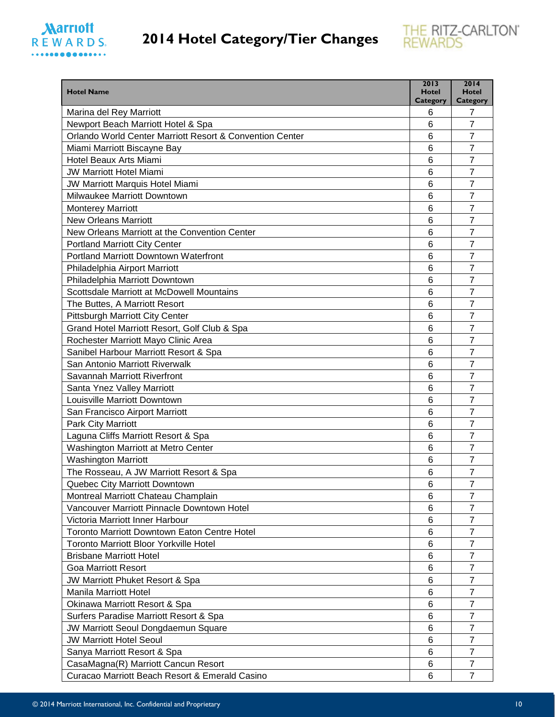#### **Marriott** REWARDS.



| <b>Hotel Name</b>                                        | 2013<br><b>Hotel</b> | 2014<br><b>Hotel</b> |
|----------------------------------------------------------|----------------------|----------------------|
| Marina del Rey Marriott                                  | Category<br>6        | <b>Category</b><br>7 |
| Newport Beach Marriott Hotel & Spa                       | 6                    | $\overline{7}$       |
| Orlando World Center Marriott Resort & Convention Center | 6                    | $\overline{7}$       |
| Miami Marriott Biscayne Bay                              | 6                    | $\overline{7}$       |
| Hotel Beaux Arts Miami                                   | 6                    | $\overline{7}$       |
| <b>JW Marriott Hotel Miami</b>                           | 6                    | $\overline{7}$       |
| JW Marriott Marquis Hotel Miami                          | 6                    | $\overline{7}$       |
| Milwaukee Marriott Downtown                              | 6                    | 7                    |
| <b>Monterey Marriott</b>                                 | 6                    | 7                    |
| <b>New Orleans Marriott</b>                              | 6                    | $\overline{7}$       |
| New Orleans Marriott at the Convention Center            | 6                    | $\overline{7}$       |
| <b>Portland Marriott City Center</b>                     | 6                    | $\overline{7}$       |
| Portland Marriott Downtown Waterfront                    | 6                    | $\overline{7}$       |
| Philadelphia Airport Marriott                            | 6                    | 7                    |
| Philadelphia Marriott Downtown                           | 6                    | $\overline{7}$       |
| Scottsdale Marriott at McDowell Mountains                | 6                    | $\overline{7}$       |
| The Buttes, A Marriott Resort                            | 6                    | $\overline{7}$       |
| Pittsburgh Marriott City Center                          | 6                    | 7                    |
| Grand Hotel Marriott Resort, Golf Club & Spa             | 6                    | $\overline{7}$       |
| Rochester Marriott Mayo Clinic Area                      | 6                    | 7                    |
| Sanibel Harbour Marriott Resort & Spa                    | 6                    | $\overline{7}$       |
| San Antonio Marriott Riverwalk                           | 6                    | $\overline{7}$       |
| Savannah Marriott Riverfront                             | 6                    | 7                    |
| Santa Ynez Valley Marriott                               | 6                    | $\overline{7}$       |
| Louisville Marriott Downtown                             | 6                    | $\overline{7}$       |
| San Francisco Airport Marriott                           | 6                    | $\overline{7}$       |
| Park City Marriott                                       | 6                    | $\overline{7}$       |
| Laguna Cliffs Marriott Resort & Spa                      | 6                    | $\overline{7}$       |
| Washington Marriott at Metro Center                      | 6                    | $\overline{7}$       |
| <b>Washington Marriott</b>                               | 6                    | 7                    |
| The Rosseau, A JW Marriott Resort & Spa                  | 6                    | 7                    |
| Quebec City Marriott Downtown                            | 6                    | $\overline{7}$       |
| Montreal Marriott Chateau Champlain                      | 6                    | 7                    |
| Vancouver Marriott Pinnacle Downtown Hotel               | 6                    | $\overline{7}$       |
| Victoria Marriott Inner Harbour                          | 6                    | $\overline{7}$       |
| <b>Toronto Marriott Downtown Eaton Centre Hotel</b>      | 6                    | $\overline{7}$       |
| <b>Toronto Marriott Bloor Yorkville Hotel</b>            | 6                    | $\overline{7}$       |
| <b>Brisbane Marriott Hotel</b>                           | 6                    | $\overline{7}$       |
| <b>Goa Marriott Resort</b>                               | 6                    | 7                    |
| JW Marriott Phuket Resort & Spa                          | 6                    | $\overline{7}$       |
| <b>Manila Marriott Hotel</b>                             | 6                    | $\overline{7}$       |
| Okinawa Marriott Resort & Spa                            | 6                    | $\overline{7}$       |
| Surfers Paradise Marriott Resort & Spa                   | 6                    | $\overline{7}$       |
| JW Marriott Seoul Dongdaemun Square                      | 6                    | 7                    |
| <b>JW Marriott Hotel Seoul</b>                           | 6                    | $\overline{7}$       |
| Sanya Marriott Resort & Spa                              | 6                    | $\overline{7}$       |
| CasaMagna(R) Marriott Cancun Resort                      | 6                    | $\overline{7}$       |
| Curacao Marriott Beach Resort & Emerald Casino           | 6                    | $\overline{7}$       |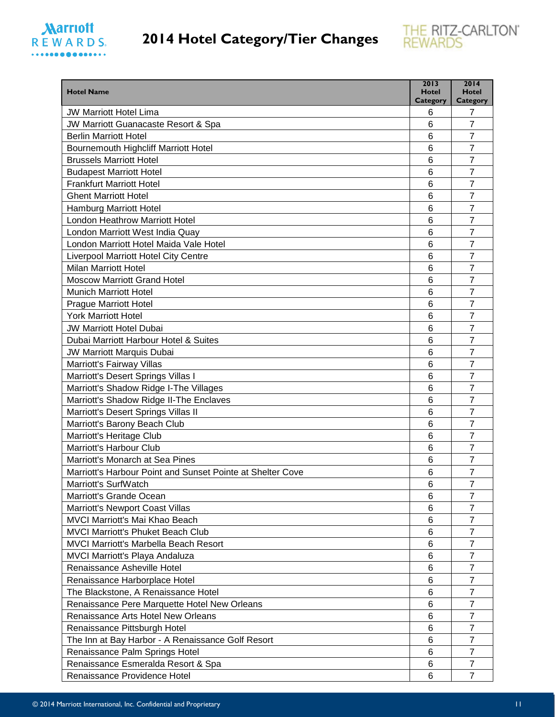

| <b>Hotel Name</b>                                               | 2013<br><b>Hotel</b> | 2014<br><b>Hotel</b>             |
|-----------------------------------------------------------------|----------------------|----------------------------------|
| <b>JW Marriott Hotel Lima</b>                                   | Category<br>6        | <b>Category</b><br>7             |
| JW Marriott Guanacaste Resort & Spa                             | 6                    | $\overline{7}$                   |
| <b>Berlin Marriott Hotel</b>                                    | 6                    | $\overline{7}$                   |
| <b>Bournemouth Highcliff Marriott Hotel</b>                     | 6                    | $\overline{7}$                   |
| <b>Brussels Marriott Hotel</b>                                  | 6                    | $\overline{7}$                   |
| <b>Budapest Marriott Hotel</b>                                  | 6                    | 7                                |
| <b>Frankfurt Marriott Hotel</b>                                 | 6                    | 7                                |
| <b>Ghent Marriott Hotel</b>                                     | 6                    | $\overline{7}$                   |
|                                                                 | 6                    | $\overline{7}$                   |
| <b>Hamburg Marriott Hotel</b><br>London Heathrow Marriott Hotel | 6                    | 7                                |
|                                                                 |                      |                                  |
| London Marriott West India Quay                                 | 6                    | $\overline{7}$<br>$\overline{7}$ |
| London Marriott Hotel Maida Vale Hotel                          | 6                    |                                  |
| <b>Liverpool Marriott Hotel City Centre</b>                     | 6                    | $\overline{7}$                   |
| <b>Milan Marriott Hotel</b>                                     | 6                    | $\overline{7}$                   |
| <b>Moscow Marriott Grand Hotel</b>                              | 6                    | 7                                |
| <b>Munich Marriott Hotel</b>                                    | 6                    | 7                                |
| <b>Prague Marriott Hotel</b>                                    | 6                    | $\overline{7}$                   |
| <b>York Marriott Hotel</b>                                      | 6                    | $\overline{7}$                   |
| <b>JW Marriott Hotel Dubai</b>                                  | 6                    | $\overline{7}$                   |
| Dubai Marriott Harbour Hotel & Suites                           | 6                    | 7                                |
| <b>JW Marriott Marquis Dubai</b>                                | 6                    | $\overline{7}$                   |
| Marriott's Fairway Villas                                       | 6                    | 7                                |
| Marriott's Desert Springs Villas I                              | 6                    | 7                                |
| Marriott's Shadow Ridge I-The Villages                          | 6                    | $\overline{7}$                   |
| Marriott's Shadow Ridge II-The Enclaves                         | 6                    | 7                                |
| Marriott's Desert Springs Villas II                             | 6                    | $\overline{7}$                   |
| Marriott's Barony Beach Club                                    | 6                    | $\overline{7}$                   |
| Marriott's Heritage Club                                        | 6                    | 7                                |
| Marriott's Harbour Club                                         | 6                    | $\overline{7}$                   |
| Marriott's Monarch at Sea Pines                                 | 6                    | 7                                |
| Marriott's Harbour Point and Sunset Pointe at Shelter Cove      | 6                    | 7                                |
| Marriott's SurfWatch                                            | 6                    | 7                                |
| Marriott's Grande Ocean                                         | 6                    | $\overline{7}$                   |
| Marriott's Newport Coast Villas                                 | 6                    | 7                                |
| <b>MVCI Marriott's Mai Khao Beach</b>                           | 6                    | 7                                |
| <b>MVCI Marriott's Phuket Beach Club</b>                        | 6                    | $\overline{7}$                   |
| <b>MVCI Marriott's Marbella Beach Resort</b>                    | 6                    | $\overline{7}$                   |
| <b>MVCI Marriott's Playa Andaluza</b>                           | 6                    | $\overline{7}$                   |
| Renaissance Asheville Hotel                                     | 6                    | 7                                |
| Renaissance Harborplace Hotel                                   | 6                    | 7                                |
| The Blackstone, A Renaissance Hotel                             | 6                    | $\overline{7}$                   |
| Renaissance Pere Marquette Hotel New Orleans                    | 6                    | 7                                |
| Renaissance Arts Hotel New Orleans                              | 6                    | $\overline{7}$                   |
| Renaissance Pittsburgh Hotel                                    | 6                    | $\overline{7}$                   |
| The Inn at Bay Harbor - A Renaissance Golf Resort               | 6                    | $\overline{7}$                   |
| Renaissance Palm Springs Hotel                                  | 6                    | $\overline{7}$                   |
| Renaissance Esmeralda Resort & Spa                              | 6                    | $\overline{7}$                   |
| Renaissance Providence Hotel                                    | 6                    | $\overline{7}$                   |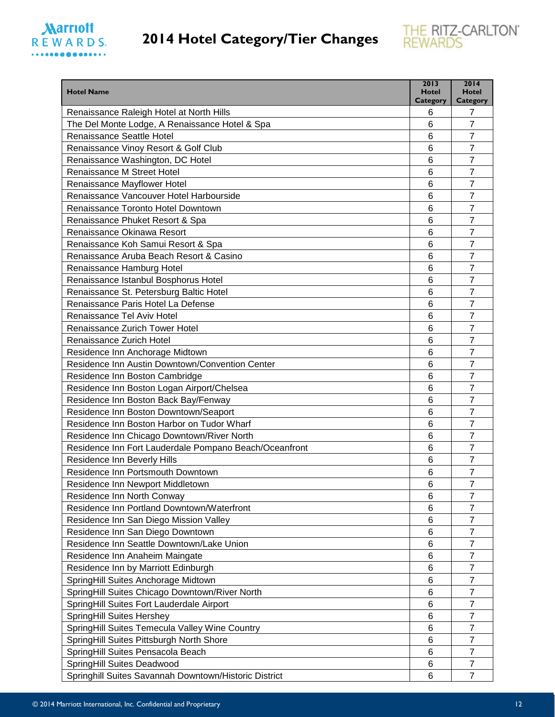



| <b>Hotel Name</b>                                                                          | 2013<br>Hotel   | 2014<br><b>Hotel</b> |
|--------------------------------------------------------------------------------------------|-----------------|----------------------|
|                                                                                            | Category        | Category             |
| Renaissance Raleigh Hotel at North Hills<br>The Del Monte Lodge, A Renaissance Hotel & Spa | 6<br>6          | 7<br>$\overline{7}$  |
| Renaissance Seattle Hotel                                                                  | 6               | $\overline{7}$       |
| Renaissance Vinoy Resort & Golf Club                                                       | 6               | $\overline{7}$       |
|                                                                                            | 6               | $\overline{7}$       |
| Renaissance Washington, DC Hotel<br>Renaissance M Street Hotel                             | 6               | $\overline{7}$       |
|                                                                                            | 6               | $\overline{7}$       |
| Renaissance Mayflower Hotel<br>Renaissance Vancouver Hotel Harbourside                     | 6               | $\overline{7}$       |
| Renaissance Toronto Hotel Downtown                                                         | $6\phantom{1}6$ | $\overline{7}$       |
|                                                                                            |                 |                      |
| Renaissance Phuket Resort & Spa                                                            | 6               | 7<br>$\overline{7}$  |
| Renaissance Okinawa Resort                                                                 | 6               | $\overline{7}$       |
| Renaissance Koh Samui Resort & Spa                                                         | 6               |                      |
| Renaissance Aruba Beach Resort & Casino                                                    | 6               | $\overline{7}$       |
| Renaissance Hamburg Hotel                                                                  | 6               | $\overline{7}$       |
| Renaissance Istanbul Bosphorus Hotel                                                       | 6               | $\overline{7}$       |
| Renaissance St. Petersburg Baltic Hotel                                                    | 6               | $\overline{7}$       |
| Renaissance Paris Hotel La Defense                                                         | 6               | $\overline{7}$       |
| Renaissance Tel Aviv Hotel                                                                 | 6               | $\overline{7}$       |
| <b>Renaissance Zurich Tower Hotel</b>                                                      | 6               | 7                    |
| Renaissance Zurich Hotel                                                                   | 6               | $\overline{7}$       |
| Residence Inn Anchorage Midtown                                                            | 6               | $\overline{7}$       |
| Residence Inn Austin Downtown/Convention Center                                            | 6               | $\overline{7}$       |
| Residence Inn Boston Cambridge                                                             | $6\phantom{1}6$ | $\overline{7}$       |
| Residence Inn Boston Logan Airport/Chelsea                                                 | 6               | $\overline{7}$       |
| Residence Inn Boston Back Bay/Fenway                                                       | 6               | $\overline{7}$       |
| Residence Inn Boston Downtown/Seaport                                                      | 6               | $\overline{7}$       |
| Residence Inn Boston Harbor on Tudor Wharf                                                 | 6               | $\overline{7}$       |
| Residence Inn Chicago Downtown/River North                                                 | $6\phantom{1}6$ | $\overline{7}$       |
| Residence Inn Fort Lauderdale Pompano Beach/Oceanfront                                     | 6               | $\overline{7}$       |
| Residence Inn Beverly Hills                                                                | $6\phantom{1}6$ | $\overline{7}$       |
| Residence Inn Portsmouth Downtown                                                          | 6               | $\overline{7}$       |
| Residence Inn Newport Middletown                                                           | 6               | $\overline{7}$       |
| Residence Inn North Conway                                                                 | 6               | $\overline{7}$       |
| Residence Inn Portland Downtown/Waterfront                                                 | 6               | $\overline{7}$       |
| Residence Inn San Diego Mission Valley                                                     | 6               | $\overline{7}$       |
| Residence Inn San Diego Downtown                                                           | 6               | $\overline{7}$       |
| Residence Inn Seattle Downtown/Lake Union                                                  | $\,6$           | $\overline{7}$       |
| Residence Inn Anaheim Maingate                                                             | 6               | $\overline{7}$       |
| Residence Inn by Marriott Edinburgh                                                        | $\,6$           | $\overline{7}$       |
| SpringHill Suites Anchorage Midtown                                                        | 6               | $\overline{7}$       |
| SpringHill Suites Chicago Downtown/River North                                             | 6               | $\overline{7}$       |
| SpringHill Suites Fort Lauderdale Airport                                                  | $\,6$           | $\overline{7}$       |
| SpringHill Suites Hershey                                                                  | 6               | $\overline{7}$       |
| SpringHill Suites Temecula Valley Wine Country                                             | 6               | $\overline{7}$       |
| SpringHill Suites Pittsburgh North Shore                                                   | 6               | $\overline{7}$       |
| SpringHill Suites Pensacola Beach                                                          | 6               | $\overline{7}$       |
| SpringHill Suites Deadwood                                                                 | 6               | $\overline{7}$       |
| Springhill Suites Savannah Downtown/Historic District                                      | 6               | $\overline{7}$       |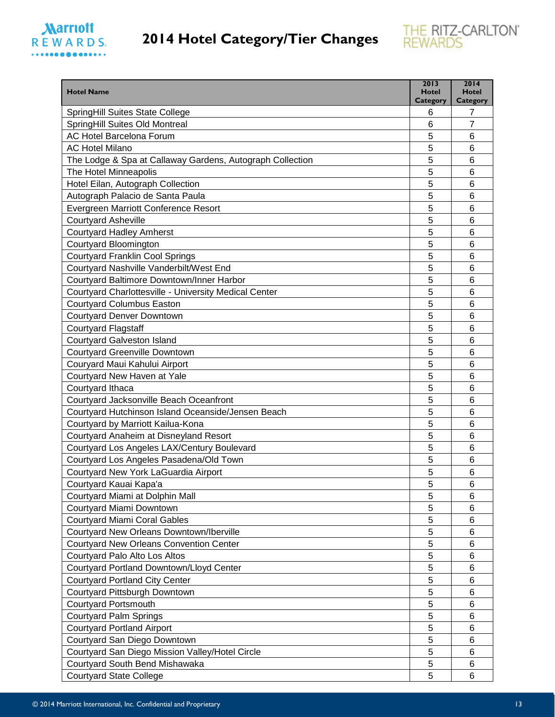



| <b>Hotel Name</b>                                                        | 2013<br><b>Hotel</b> | 2014<br><b>Hotel</b> |
|--------------------------------------------------------------------------|----------------------|----------------------|
|                                                                          | <b>Category</b>      | Category             |
| <b>SpringHill Suites State College</b><br>SpringHill Suites Old Montreal | 6<br>6               | 7<br>$\overline{7}$  |
| AC Hotel Barcelona Forum                                                 | 5                    | 6                    |
| <b>AC Hotel Milano</b>                                                   | 5                    | 6                    |
|                                                                          | 5                    |                      |
| The Lodge & Spa at Callaway Gardens, Autograph Collection                |                      | 6                    |
| The Hotel Minneapolis                                                    | 5                    | 6                    |
| Hotel Eilan, Autograph Collection                                        | 5                    | 6                    |
| Autograph Palacio de Santa Paula                                         | 5                    | 6                    |
| Evergreen Marriott Conference Resort                                     | 5                    | 6                    |
| <b>Courtyard Asheville</b>                                               | 5                    | 6                    |
| <b>Courtyard Hadley Amherst</b>                                          | 5                    | 6                    |
| Courtyard Bloomington                                                    | 5                    | 6                    |
| <b>Courtyard Franklin Cool Springs</b>                                   | 5                    | 6                    |
| Courtyard Nashville Vanderbilt/West End                                  | 5                    | 6                    |
| Courtyard Baltimore Downtown/Inner Harbor                                | 5                    | 6                    |
| Courtyard Charlottesville - University Medical Center                    | 5                    | 6                    |
| <b>Courtyard Columbus Easton</b>                                         | 5                    | 6                    |
| Courtyard Denver Downtown                                                | 5                    | 6                    |
| <b>Courtyard Flagstaff</b>                                               | 5                    | 6                    |
| <b>Courtyard Galveston Island</b>                                        | 5                    | 6                    |
| <b>Courtyard Greenville Downtown</b>                                     | 5                    | 6                    |
| Couryard Maui Kahului Airport                                            | 5                    | 6                    |
| Courtyard New Haven at Yale                                              | 5                    | 6                    |
| Courtyard Ithaca                                                         | 5                    | 6                    |
| Courtyard Jacksonville Beach Oceanfront                                  | 5                    | 6                    |
| Courtyard Hutchinson Island Oceanside/Jensen Beach                       | 5                    | 6                    |
| Courtyard by Marriott Kailua-Kona                                        | 5                    | 6                    |
| Courtyard Anaheim at Disneyland Resort                                   | 5                    | 6                    |
| Courtyard Los Angeles LAX/Century Boulevard                              | 5                    | 6                    |
| Courtyard Los Angeles Pasadena/Old Town                                  | 5                    | 6                    |
| Courtyard New York LaGuardia Airport                                     | 5                    | 6                    |
| Courtyard Kauai Kapa'a                                                   | 5                    | 6                    |
| Courtyard Miami at Dolphin Mall                                          | 5                    | 6                    |
| Courtyard Miami Downtown                                                 | 5                    | 6                    |
| <b>Courtyard Miami Coral Gables</b>                                      | 5                    | 6                    |
| Courtyard New Orleans Downtown/Iberville                                 | 5                    | 6                    |
| <b>Courtyard New Orleans Convention Center</b>                           | 5                    | 6                    |
| Courtyard Palo Alto Los Altos                                            | 5                    | 6                    |
| Courtyard Portland Downtown/Lloyd Center                                 | 5                    | 6                    |
| <b>Courtyard Portland City Center</b>                                    | 5                    | 6                    |
| Courtyard Pittsburgh Downtown                                            | 5                    | 6                    |
| <b>Courtyard Portsmouth</b>                                              | 5                    | 6                    |
| <b>Courtyard Palm Springs</b>                                            | 5                    | 6                    |
| <b>Courtyard Portland Airport</b>                                        | 5                    | 6                    |
| Courtyard San Diego Downtown                                             | 5                    | 6                    |
| Courtyard San Diego Mission Valley/Hotel Circle                          | 5                    | 6                    |
| Courtyard South Bend Mishawaka                                           | 5                    | 6                    |
| <b>Courtyard State College</b>                                           | 5                    | 6                    |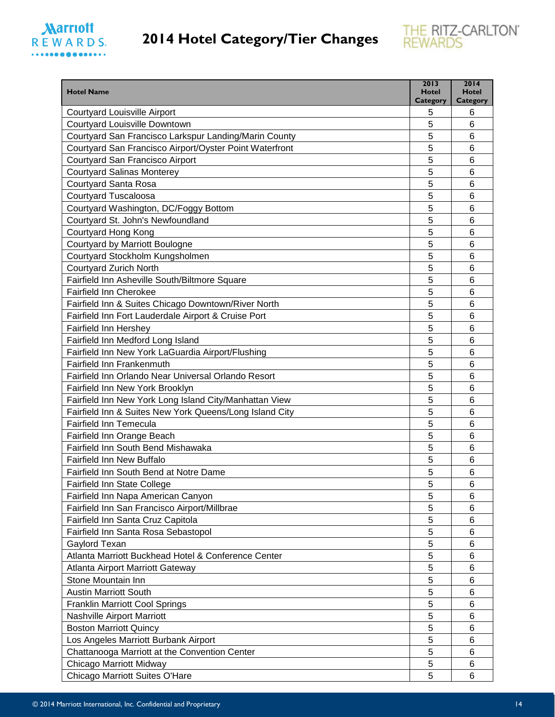

| <b>Hotel Name</b>                                                    | 2013<br>Hotel | 2014<br><b>Hotel</b> |
|----------------------------------------------------------------------|---------------|----------------------|
|                                                                      | Category      | <b>Category</b>      |
| <b>Courtyard Louisville Airport</b><br>Courtyard Louisville Downtown | 5<br>5        | 6<br>6               |
| Courtyard San Francisco Larkspur Landing/Marin County                | 5             | 6                    |
| Courtyard San Francisco Airport/Oyster Point Waterfront              | 5             | 6                    |
| Courtyard San Francisco Airport                                      | 5             | 6                    |
| <b>Courtyard Salinas Monterey</b>                                    | 5             | 6                    |
| Courtyard Santa Rosa                                                 | 5             | 6                    |
| <b>Courtyard Tuscaloosa</b>                                          | 5             | 6                    |
| Courtyard Washington, DC/Foggy Bottom                                | 5             | 6                    |
| Courtyard St. John's Newfoundland                                    | 5             | 6                    |
| Courtyard Hong Kong                                                  | 5             | 6                    |
| Courtyard by Marriott Boulogne                                       | 5             | 6                    |
| Courtyard Stockholm Kungsholmen                                      | 5             | 6                    |
| <b>Courtyard Zurich North</b>                                        | 5             | 6                    |
| Fairfield Inn Asheville South/Biltmore Square                        | 5             | 6                    |
| <b>Fairfield Inn Cherokee</b>                                        | 5             | 6                    |
| Fairfield Inn & Suites Chicago Downtown/River North                  | 5             | 6                    |
| Fairfield Inn Fort Lauderdale Airport & Cruise Port                  | 5             | 6                    |
| <b>Fairfield Inn Hershey</b>                                         | 5             | 6                    |
| Fairfield Inn Medford Long Island                                    | 5             | 6                    |
| Fairfield Inn New York LaGuardia Airport/Flushing                    | 5             | 6                    |
| Fairfield Inn Frankenmuth                                            | 5             | 6                    |
| Fairfield Inn Orlando Near Universal Orlando Resort                  | 5             | 6                    |
| Fairfield Inn New York Brooklyn                                      | 5             | 6                    |
| Fairfield Inn New York Long Island City/Manhattan View               | 5             | 6                    |
| Fairfield Inn & Suites New York Queens/Long Island City              | 5             | 6                    |
| <b>Fairfield Inn Temecula</b>                                        | 5             | 6                    |
| Fairfield Inn Orange Beach                                           | 5             | 6                    |
| Fairfield Inn South Bend Mishawaka                                   | 5             | 6                    |
| <b>Fairfield Inn New Buffalo</b>                                     | 5             | 6                    |
| Fairfield Inn South Bend at Notre Dame                               | 5             | 6                    |
| Fairfield Inn State College                                          | 5             | 6                    |
| Fairfield Inn Napa American Canyon                                   | 5             | 6                    |
| Fairfield Inn San Francisco Airport/Millbrae                         | 5             | 6                    |
| Fairfield Inn Santa Cruz Capitola                                    | 5             | 6                    |
| Fairfield Inn Santa Rosa Sebastopol                                  | 5             | 6                    |
| Gaylord Texan                                                        | 5             | 6                    |
| Atlanta Marriott Buckhead Hotel & Conference Center                  | 5             | 6                    |
| Atlanta Airport Marriott Gateway                                     | 5             | 6                    |
| Stone Mountain Inn                                                   | 5             | 6                    |
| <b>Austin Marriott South</b>                                         | 5             | 6                    |
| <b>Franklin Marriott Cool Springs</b>                                | 5             | 6                    |
| Nashville Airport Marriott                                           | 5             | 6                    |
| <b>Boston Marriott Quincy</b>                                        | 5             | 6                    |
| Los Angeles Marriott Burbank Airport                                 | 5             | 6                    |
| Chattanooga Marriott at the Convention Center                        | 5             | 6                    |
| Chicago Marriott Midway                                              | 5             | 6                    |
| Chicago Marriott Suites O'Hare                                       | 5             | 6                    |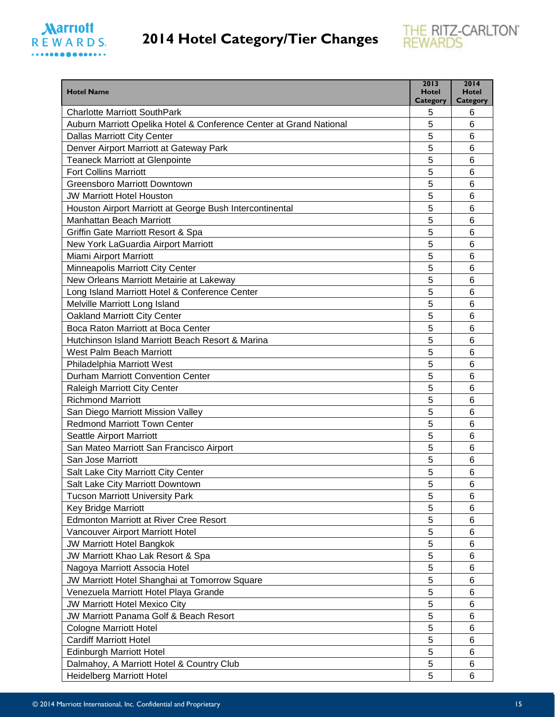

| <b>Hotel Name</b>                                                   | 2013<br><b>Hotel</b><br>Category | 2014<br><b>Hotel</b><br>Category |
|---------------------------------------------------------------------|----------------------------------|----------------------------------|
| <b>Charlotte Marriott SouthPark</b>                                 | 5                                | 6                                |
| Auburn Marriott Opelika Hotel & Conference Center at Grand National | 5                                | 6                                |
| <b>Dallas Marriott City Center</b>                                  | 5                                | 6                                |
| Denver Airport Marriott at Gateway Park                             | 5                                | 6                                |
| <b>Teaneck Marriott at Glenpointe</b>                               | 5                                | 6                                |
| <b>Fort Collins Marriott</b>                                        | 5                                | 6                                |
| <b>Greensboro Marriott Downtown</b>                                 | 5                                | 6                                |
| <b>JW Marriott Hotel Houston</b>                                    | 5                                | 6                                |
| Houston Airport Marriott at George Bush Intercontinental            | 5                                | 6                                |
| <b>Manhattan Beach Marriott</b>                                     | 5                                | 6                                |
| Griffin Gate Marriott Resort & Spa                                  | 5                                | 6                                |
| New York LaGuardia Airport Marriott                                 | 5                                | 6                                |
| Miami Airport Marriott                                              | 5                                | 6                                |
| Minneapolis Marriott City Center                                    | 5                                | 6                                |
| New Orleans Marriott Metairie at Lakeway                            | 5                                | 6                                |
| Long Island Marriott Hotel & Conference Center                      | 5                                | 6                                |
| Melville Marriott Long Island                                       | 5                                | 6                                |
| Oakland Marriott City Center                                        | 5                                | 6                                |
| Boca Raton Marriott at Boca Center                                  | 5                                | 6                                |
| Hutchinson Island Marriott Beach Resort & Marina                    | 5                                | 6                                |
| West Palm Beach Marriott                                            | 5                                | 6                                |
| Philadelphia Marriott West                                          | 5                                | 6                                |
| <b>Durham Marriott Convention Center</b>                            | 5                                | 6                                |
| Raleigh Marriott City Center                                        | 5                                | 6                                |
| <b>Richmond Marriott</b>                                            | 5                                | 6                                |
| San Diego Marriott Mission Valley                                   | 5                                | 6                                |
| <b>Redmond Marriott Town Center</b>                                 | 5                                | 6                                |
| Seattle Airport Marriott                                            | 5                                | 6                                |
| San Mateo Marriott San Francisco Airport                            | 5                                | 6                                |
| San Jose Marriott                                                   | 5                                | 6                                |
| Salt Lake City Marriott City Center                                 | 5                                | 6                                |
| Salt Lake City Marriott Downtown                                    | 5                                | 6                                |
| <b>Tucson Marriott University Park</b>                              | 5                                | 6                                |
| Key Bridge Marriott                                                 | 5                                | 6                                |
| <b>Edmonton Marriott at River Cree Resort</b>                       | 5                                | 6                                |
| Vancouver Airport Marriott Hotel                                    | 5                                | 6                                |
| <b>JW Marriott Hotel Bangkok</b>                                    | 5                                | 6                                |
| JW Marriott Khao Lak Resort & Spa                                   | 5                                | 6                                |
| Nagoya Marriott Associa Hotel                                       | 5                                | 6                                |
| JW Marriott Hotel Shanghai at Tomorrow Square                       | 5                                | 6                                |
| Venezuela Marriott Hotel Playa Grande                               | 5                                | 6                                |
| JW Marriott Hotel Mexico City                                       | 5                                | 6                                |
| JW Marriott Panama Golf & Beach Resort                              | 5                                | 6                                |
| <b>Cologne Marriott Hotel</b>                                       | 5                                | 6                                |
| <b>Cardiff Marriott Hotel</b>                                       | 5                                | 6                                |
| <b>Edinburgh Marriott Hotel</b>                                     | 5                                | 6                                |
| Dalmahoy, A Marriott Hotel & Country Club                           | 5                                | 6                                |
| <b>Heidelberg Marriott Hotel</b>                                    | 5                                | 6                                |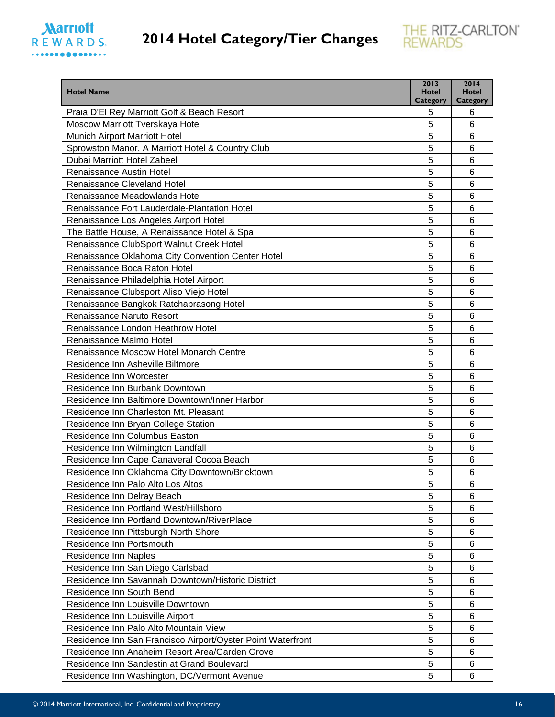



| <b>Hotel Name</b>                                           | 2013<br>Hotel        | 2014<br><b>Hotel</b> |
|-------------------------------------------------------------|----------------------|----------------------|
| Praia D'El Rey Marriott Golf & Beach Resort                 | <b>Category</b><br>5 | <b>Category</b><br>6 |
| Moscow Marriott Tverskaya Hotel                             | 5                    | 6                    |
| Munich Airport Marriott Hotel                               | 5                    | 6                    |
| Sprowston Manor, A Marriott Hotel & Country Club            | 5                    | 6                    |
| Dubai Marriott Hotel Zabeel                                 | 5                    | 6                    |
| Renaissance Austin Hotel                                    | 5                    | 6                    |
| <b>Renaissance Cleveland Hotel</b>                          | 5                    | 6                    |
| Renaissance Meadowlands Hotel                               | 5                    | 6                    |
| Renaissance Fort Lauderdale-Plantation Hotel                | 5                    | 6                    |
| Renaissance Los Angeles Airport Hotel                       | 5                    | 6                    |
| The Battle House, A Renaissance Hotel & Spa                 | 5                    | 6                    |
| Renaissance ClubSport Walnut Creek Hotel                    | 5                    | 6                    |
| Renaissance Oklahoma City Convention Center Hotel           | 5                    | 6                    |
| Renaissance Boca Raton Hotel                                | 5                    | 6                    |
| Renaissance Philadelphia Hotel Airport                      | 5                    | 6                    |
| Renaissance Clubsport Aliso Viejo Hotel                     | 5                    | 6                    |
| Renaissance Bangkok Ratchaprasong Hotel                     | 5                    | 6                    |
| Renaissance Naruto Resort                                   | 5                    | 6                    |
| Renaissance London Heathrow Hotel                           | 5                    | 6                    |
| Renaissance Malmo Hotel                                     | 5                    | 6                    |
| Renaissance Moscow Hotel Monarch Centre                     | 5                    | 6                    |
| Residence Inn Asheville Biltmore                            | 5                    | 6                    |
| Residence Inn Worcester                                     | 5                    | 6                    |
| Residence Inn Burbank Downtown                              | 5                    | 6                    |
| Residence Inn Baltimore Downtown/Inner Harbor               | 5                    | 6                    |
| Residence Inn Charleston Mt. Pleasant                       | 5                    | 6                    |
| Residence Inn Bryan College Station                         | 5                    | 6                    |
| Residence Inn Columbus Easton                               | 5                    | 6                    |
| Residence Inn Wilmington Landfall                           | 5                    | 6                    |
| Residence Inn Cape Canaveral Cocoa Beach                    | 5                    | 6                    |
| Residence Inn Oklahoma City Downtown/Bricktown              | 5                    | 6                    |
| Residence Inn Palo Alto Los Altos                           | 5                    | 6                    |
| Residence Inn Delray Beach                                  | 5                    | 6                    |
| Residence Inn Portland West/Hillsboro                       | 5                    | 6                    |
| Residence Inn Portland Downtown/RiverPlace                  | 5                    | 6                    |
| Residence Inn Pittsburgh North Shore                        | 5                    | 6                    |
| Residence Inn Portsmouth                                    | 5                    | 6                    |
| <b>Residence Inn Naples</b>                                 | 5                    | 6                    |
| Residence Inn San Diego Carlsbad                            | 5                    | 6                    |
| Residence Inn Savannah Downtown/Historic District           | 5                    | 6                    |
| Residence Inn South Bend                                    | 5                    | 6                    |
| Residence Inn Louisville Downtown                           | 5                    | 6                    |
| Residence Inn Louisville Airport                            | 5                    | 6                    |
| Residence Inn Palo Alto Mountain View                       | 5                    | 6                    |
| Residence Inn San Francisco Airport/Oyster Point Waterfront | 5                    | 6                    |
| Residence Inn Anaheim Resort Area/Garden Grove              | 5                    | 6                    |
| Residence Inn Sandestin at Grand Boulevard                  | 5                    | 6                    |
| Residence Inn Washington, DC/Vermont Avenue                 | 5                    | 6                    |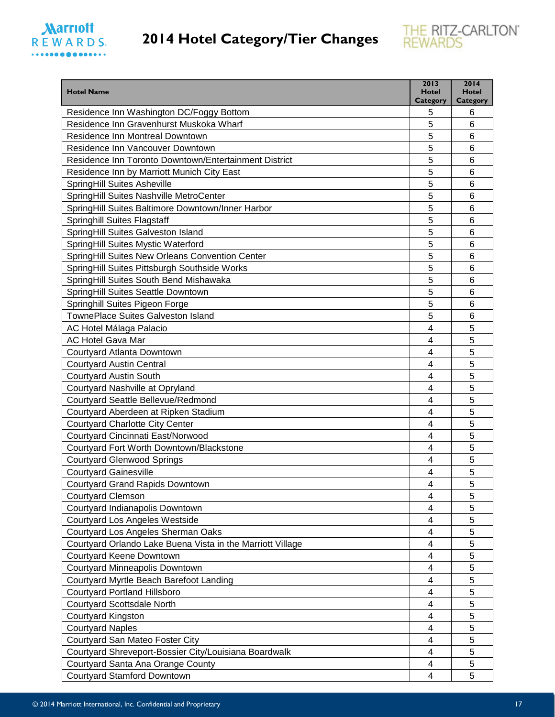



| <b>Hotel Name</b>                                          | 2013<br>Hotel<br><b>Category</b> | 2014<br><b>Hotel</b><br><b>Category</b> |
|------------------------------------------------------------|----------------------------------|-----------------------------------------|
| Residence Inn Washington DC/Foggy Bottom                   | 5                                | 6                                       |
| Residence Inn Gravenhurst Muskoka Wharf                    | 5                                | 6                                       |
| Residence Inn Montreal Downtown                            | 5                                | 6                                       |
| Residence Inn Vancouver Downtown                           | 5                                | 6                                       |
| Residence Inn Toronto Downtown/Entertainment District      | 5                                | 6                                       |
| Residence Inn by Marriott Munich City East                 | 5                                | 6                                       |
| <b>SpringHill Suites Asheville</b>                         | 5                                | 6                                       |
| SpringHill Suites Nashville MetroCenter                    | 5                                | 6                                       |
| SpringHill Suites Baltimore Downtown/Inner Harbor          | 5                                | 6                                       |
| <b>Springhill Suites Flagstaff</b>                         | 5                                | 6                                       |
| SpringHill Suites Galveston Island                         | 5                                | 6                                       |
| SpringHill Suites Mystic Waterford                         | 5                                | 6                                       |
| SpringHill Suites New Orleans Convention Center            | 5                                | 6                                       |
| SpringHill Suites Pittsburgh Southside Works               | 5                                | 6                                       |
| SpringHill Suites South Bend Mishawaka                     | 5                                | 6                                       |
| SpringHill Suites Seattle Downtown                         | 5                                | 6                                       |
| Springhill Suites Pigeon Forge                             | 5                                | 6                                       |
| <b>TownePlace Suites Galveston Island</b>                  | 5                                | 6                                       |
| AC Hotel Málaga Palacio                                    | 4                                | 5                                       |
| <b>AC Hotel Gava Mar</b>                                   | 4                                | 5                                       |
| Courtyard Atlanta Downtown                                 | 4                                | 5                                       |
| <b>Courtyard Austin Central</b>                            | 4                                | 5                                       |
| <b>Courtyard Austin South</b>                              | 4                                | 5                                       |
| Courtyard Nashville at Opryland                            | 4                                | 5                                       |
| Courtyard Seattle Bellevue/Redmond                         | 4                                | 5                                       |
| Courtyard Aberdeen at Ripken Stadium                       | 4                                | 5                                       |
| <b>Courtyard Charlotte City Center</b>                     | 4                                | 5                                       |
| Courtyard Cincinnati East/Norwood                          | 4                                | 5                                       |
| Courtyard Fort Worth Downtown/Blackstone                   | 4                                | 5                                       |
| <b>Courtyard Glenwood Springs</b>                          | 4                                | 5                                       |
| <b>Courtyard Gainesville</b>                               | 4                                | 5                                       |
| <b>Courtyard Grand Rapids Downtown</b>                     | 4                                | $\overline{5}$                          |
| <b>Courtyard Clemson</b>                                   | 4                                | 5                                       |
| Courtyard Indianapolis Downtown                            | 4                                | 5                                       |
| <b>Courtyard Los Angeles Westside</b>                      | 4                                | 5                                       |
| Courtyard Los Angeles Sherman Oaks                         | 4                                | 5                                       |
| Courtyard Orlando Lake Buena Vista in the Marriott Village | 4                                | 5                                       |
| Courtyard Keene Downtown                                   | 4                                | 5                                       |
| Courtyard Minneapolis Downtown                             | 4                                | 5                                       |
| Courtyard Myrtle Beach Barefoot Landing                    | 4                                | 5                                       |
| <b>Courtyard Portland Hillsboro</b>                        | 4                                | 5                                       |
| <b>Courtyard Scottsdale North</b>                          | 4                                | 5                                       |
| <b>Courtyard Kingston</b>                                  | 4                                | 5                                       |
| <b>Courtyard Naples</b>                                    | 4                                | 5                                       |
| Courtyard San Mateo Foster City                            | 4                                | 5                                       |
| Courtyard Shreveport-Bossier City/Louisiana Boardwalk      | 4                                | 5                                       |
| Courtyard Santa Ana Orange County                          | 4                                | 5                                       |
| <b>Courtyard Stamford Downtown</b>                         | 4                                | 5                                       |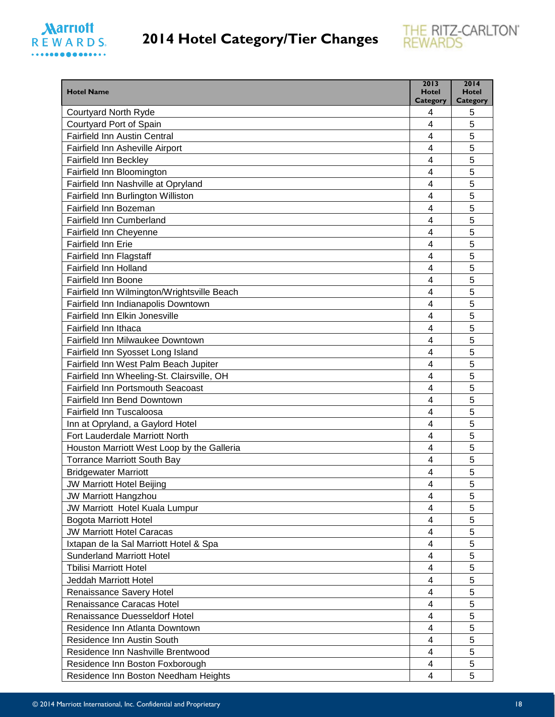



| <b>Hotel Name</b>                                                                      | 2013<br><b>Hotel</b>         | 2014<br><b>Hotel</b> |
|----------------------------------------------------------------------------------------|------------------------------|----------------------|
|                                                                                        | Category                     | <b>Category</b>      |
| <b>Courtyard North Ryde</b><br>Courtyard Port of Spain                                 | 4<br>$\overline{\mathbf{4}}$ | 5<br>5               |
| <b>Fairfield Inn Austin Central</b>                                                    | 4                            | 5                    |
| Fairfield Inn Asheville Airport                                                        | 4                            | 5                    |
| <b>Fairfield Inn Beckley</b>                                                           | 4                            | 5                    |
| Fairfield Inn Bloomington                                                              | 4                            | 5                    |
| Fairfield Inn Nashville at Opryland                                                    | 4                            | 5                    |
| Fairfield Inn Burlington Williston                                                     | 4                            | 5                    |
| Fairfield Inn Bozeman                                                                  | 4                            | 5                    |
| Fairfield Inn Cumberland                                                               | 4                            | 5                    |
| Fairfield Inn Cheyenne                                                                 | 4                            | 5                    |
| Fairfield Inn Erie                                                                     | 4                            | 5                    |
| <b>Fairfield Inn Flagstaff</b>                                                         | $\overline{4}$               | 5                    |
| <b>Fairfield Inn Holland</b>                                                           | 4                            | 5                    |
| <b>Fairfield Inn Boone</b>                                                             | 4                            | 5                    |
| Fairfield Inn Wilmington/Wrightsville Beach                                            | 4                            | 5                    |
| Fairfield Inn Indianapolis Downtown                                                    | 4                            | 5                    |
| Fairfield Inn Elkin Jonesville                                                         | $\overline{\mathbf{4}}$      | 5                    |
| Fairfield Inn Ithaca                                                                   | 4                            | 5                    |
| Fairfield Inn Milwaukee Downtown                                                       | 4                            | 5                    |
|                                                                                        |                              |                      |
| Fairfield Inn Syosset Long Island                                                      | 4                            | 5<br>5               |
| Fairfield Inn West Palm Beach Jupiter                                                  | 4<br>4                       | 5                    |
| Fairfield Inn Wheeling-St. Clairsville, OH<br><b>Fairfield Inn Portsmouth Seacoast</b> | 4                            | 5                    |
| Fairfield Inn Bend Downtown                                                            | $\overline{\mathbf{4}}$      | 5                    |
| Fairfield Inn Tuscaloosa                                                               | 4                            | 5                    |
|                                                                                        | 4                            | 5                    |
| Inn at Opryland, a Gaylord Hotel<br>Fort Lauderdale Marriott North                     | $\overline{4}$               | 5                    |
| Houston Marriott West Loop by the Galleria                                             | 4                            | 5                    |
| <b>Torrance Marriott South Bay</b>                                                     | 4                            | 5                    |
|                                                                                        |                              | 5                    |
| <b>Bridgewater Marriott</b>                                                            | 4                            |                      |
| JW Marriott Hotel Beijing                                                              | 4                            | 5                    |
| <b>JW Marriott Hangzhou</b>                                                            | 4                            | 5                    |
| JW Marriott Hotel Kuala Lumpur                                                         | 4<br>4                       | 5<br>5               |
| <b>Bogota Marriott Hotel</b><br><b>JW Marriott Hotel Caracas</b>                       |                              | 5                    |
|                                                                                        | 4<br>4                       | 5                    |
| Ixtapan de la Sal Marriott Hotel & Spa                                                 | 4                            | 5                    |
| <b>Sunderland Marriott Hotel</b>                                                       |                              |                      |
| <b>Tbilisi Marriott Hotel</b><br>Jeddah Marriott Hotel                                 | 4                            | 5<br>5               |
|                                                                                        | 4                            | 5                    |
| Renaissance Savery Hotel<br>Renaissance Caracas Hotel                                  | 4<br>4                       | 5                    |
|                                                                                        |                              |                      |
| <b>Renaissance Duesseldorf Hotel</b><br>Residence Inn Atlanta Downtown                 | 4<br>4                       | 5<br>5               |
| Residence Inn Austin South                                                             | 4                            | 5                    |
|                                                                                        |                              | 5                    |
| Residence Inn Nashville Brentwood                                                      | 4<br>4                       | 5                    |
| Residence Inn Boston Foxborough                                                        | 4                            | 5                    |
| Residence Inn Boston Needham Heights                                                   |                              |                      |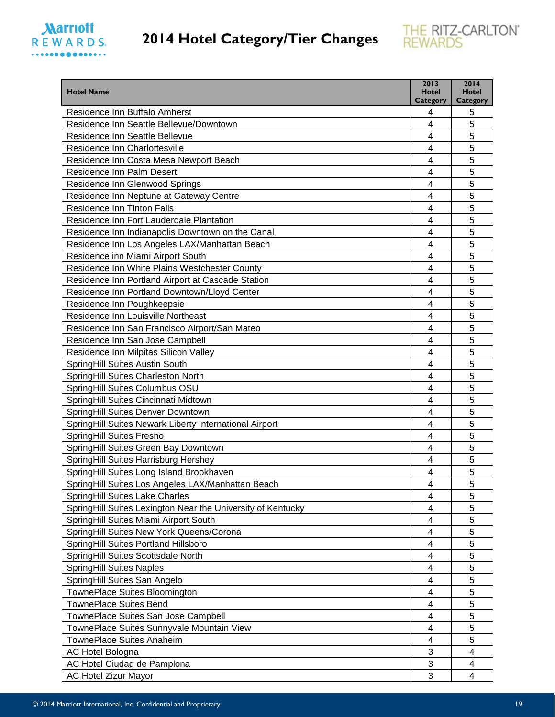

| <b>Hotel Name</b>                                           | 2013<br><b>Hotel</b>    | 2014<br><b>Hotel</b> |
|-------------------------------------------------------------|-------------------------|----------------------|
| Residence Inn Buffalo Amherst                               | Category<br>4           | <b>Category</b><br>5 |
| Residence Inn Seattle Bellevue/Downtown                     | 4                       | 5                    |
| Residence Inn Seattle Bellevue                              | 4                       | 5                    |
| Residence Inn Charlottesville                               | 4                       | 5                    |
| Residence Inn Costa Mesa Newport Beach                      | 4                       | 5                    |
| <b>Residence Inn Palm Desert</b>                            | 4                       | 5                    |
| Residence Inn Glenwood Springs                              | 4                       | 5                    |
| Residence Inn Neptune at Gateway Centre                     | 4                       | 5                    |
| <b>Residence Inn Tinton Falls</b>                           | 4                       | 5                    |
| Residence Inn Fort Lauderdale Plantation                    | 4                       | 5                    |
| Residence Inn Indianapolis Downtown on the Canal            | 4                       | 5                    |
| Residence Inn Los Angeles LAX/Manhattan Beach               | 4                       | 5                    |
| Residence inn Miami Airport South                           | 4                       | 5                    |
| Residence Inn White Plains Westchester County               | 4                       | 5                    |
| Residence Inn Portland Airport at Cascade Station           | $\overline{\mathbf{4}}$ | 5                    |
| Residence Inn Portland Downtown/Lloyd Center                | 4                       | 5                    |
| Residence Inn Poughkeepsie                                  | 4                       | 5                    |
| Residence Inn Louisville Northeast                          | 4                       | 5                    |
| Residence Inn San Francisco Airport/San Mateo               | 4                       | 5                    |
| Residence Inn San Jose Campbell                             | 4                       | 5                    |
| Residence Inn Milpitas Silicon Valley                       | 4                       | 5                    |
| SpringHill Suites Austin South                              | 4                       | 5                    |
| SpringHill Suites Charleston North                          | 4                       | 5                    |
| SpringHill Suites Columbus OSU                              | 4                       | 5                    |
| SpringHill Suites Cincinnati Midtown                        | 4                       | 5                    |
| SpringHill Suites Denver Downtown                           | 4                       | 5                    |
| SpringHill Suites Newark Liberty International Airport      | 4                       | 5                    |
| SpringHill Suites Fresno                                    | 4                       | 5                    |
| SpringHill Suites Green Bay Downtown                        | 4                       | 5                    |
| SpringHill Suites Harrisburg Hershey                        | 4                       | 5                    |
| SpringHill Suites Long Island Brookhaven                    | 4                       | 5                    |
| SpringHill Suites Los Angeles LAX/Manhattan Beach           | 4                       | 5                    |
| SpringHill Suites Lake Charles                              | 4                       | 5                    |
| SpringHill Suites Lexington Near the University of Kentucky | 4                       | 5                    |
| SpringHill Suites Miami Airport South                       | 4                       | 5                    |
| SpringHill Suites New York Queens/Corona                    | 4                       | 5                    |
| SpringHill Suites Portland Hillsboro                        | 4                       | 5                    |
| SpringHill Suites Scottsdale North                          | 4                       | 5                    |
| <b>SpringHill Suites Naples</b>                             | 4                       | 5                    |
| SpringHill Suites San Angelo                                | 4                       | 5                    |
| TownePlace Suites Bloomington                               | 4                       | 5                    |
| <b>TownePlace Suites Bend</b>                               | 4                       | 5                    |
| TownePlace Suites San Jose Campbell                         | 4                       | 5                    |
| TownePlace Suites Sunnyvale Mountain View                   | 4                       | 5                    |
| TownePlace Suites Anaheim                                   | 4                       | 5                    |
| AC Hotel Bologna                                            | 3                       | 4                    |
| AC Hotel Ciudad de Pamplona                                 | 3                       | 4                    |
| <b>AC Hotel Zizur Mayor</b>                                 | 3                       | $\overline{4}$       |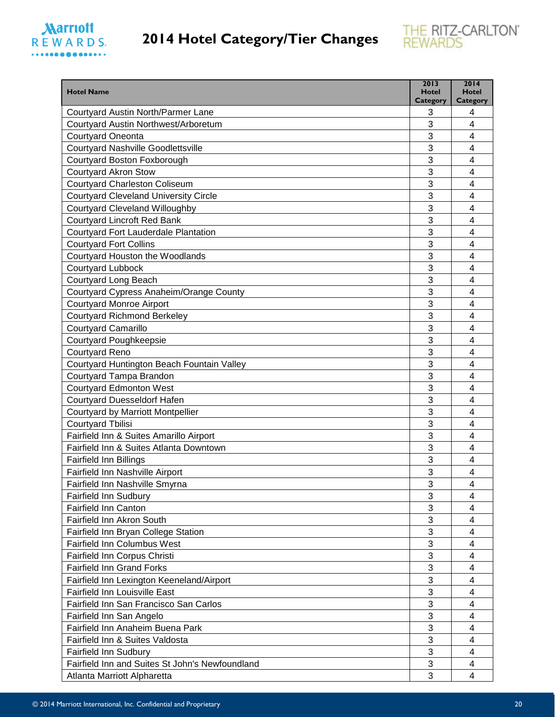



| <b>Hotel Name</b>                                            | 2013<br>Hotel | 2014<br><b>Hotel</b>    |
|--------------------------------------------------------------|---------------|-------------------------|
|                                                              | Category      | <b>Category</b>         |
| Courtyard Austin North/Parmer Lane                           | 3<br>3        | 4                       |
| Courtyard Austin Northwest/Arboretum                         |               | $\overline{4}$          |
| Courtyard Oneonta                                            | 3             | 4                       |
| <b>Courtyard Nashville Goodlettsville</b>                    | 3             | $\overline{4}$          |
| Courtyard Boston Foxborough                                  | 3             | $\overline{4}$          |
| <b>Courtyard Akron Stow</b>                                  | 3             | 4                       |
| <b>Courtyard Charleston Coliseum</b>                         | 3             | 4                       |
| <b>Courtyard Cleveland University Circle</b>                 | 3             | $\overline{\mathbf{4}}$ |
| <b>Courtyard Cleveland Willoughby</b>                        | 3             | $\overline{4}$          |
| <b>Courtyard Lincroft Red Bank</b>                           | 3             | $\overline{4}$          |
| Courtyard Fort Lauderdale Plantation                         | 3             | $\overline{4}$          |
| <b>Courtyard Fort Collins</b>                                | 3             | 4                       |
| Courtyard Houston the Woodlands                              | 3             | 4                       |
| <b>Courtyard Lubbock</b>                                     | 3             | 4                       |
| Courtyard Long Beach                                         | 3             | $\overline{4}$          |
| Courtyard Cypress Anaheim/Orange County                      | 3             | $\overline{4}$          |
| <b>Courtyard Monroe Airport</b>                              | 3             | 4                       |
| <b>Courtyard Richmond Berkeley</b>                           | 3             | $\overline{\mathbf{4}}$ |
| <b>Courtyard Camarillo</b>                                   | 3             | 4                       |
| <b>Courtyard Poughkeepsie</b>                                | 3             | $\overline{4}$          |
| <b>Courtyard Reno</b>                                        | 3             | 4                       |
| Courtyard Huntington Beach Fountain Valley                   | 3             | 4                       |
| Courtyard Tampa Brandon                                      | 3             | $\overline{\mathbf{4}}$ |
| <b>Courtyard Edmonton West</b>                               | 3             | 4                       |
| <b>Courtyard Duesseldorf Hafen</b>                           | 3             | 4                       |
| Courtyard by Marriott Montpellier                            | 3             | 4                       |
| <b>Courtyard Tbilisi</b>                                     | 3             | $\overline{4}$          |
| Fairfield Inn & Suites Amarillo Airport                      | 3             | $\overline{4}$          |
| Fairfield Inn & Suites Atlanta Downtown                      | 3             | 4                       |
| <b>Fairfield Inn Billings</b>                                | 3             | 4                       |
| Fairfield Inn Nashville Airport                              | 3             | 4                       |
| Fairfield Inn Nashville Smyrna                               | 3             | $\overline{\mathbf{4}}$ |
| <b>Fairfield Inn Sudbury</b>                                 | 3             | 4                       |
| <b>Fairfield Inn Canton</b>                                  | 3             | 4                       |
| Fairfield Inn Akron South                                    | 3             | $\overline{4}$          |
| Fairfield Inn Bryan College Station                          | 3             | $\overline{4}$          |
| <b>Fairfield Inn Columbus West</b>                           | 3             | 4                       |
| Fairfield Inn Corpus Christi                                 | 3             | 4                       |
| <b>Fairfield Inn Grand Forks</b>                             | 3             | $\overline{4}$          |
| Fairfield Inn Lexington Keeneland/Airport                    | 3             | 4                       |
| <b>Fairfield Inn Louisville East</b>                         | 3             | $\overline{4}$          |
| Fairfield Inn San Francisco San Carlos                       | 3             | $\overline{4}$          |
|                                                              | 3             | 4                       |
| Fairfield Inn San Angelo<br>Fairfield Inn Anaheim Buena Park | 3             | 4                       |
|                                                              |               |                         |
| Fairfield Inn & Suites Valdosta                              | 3             | 4                       |
| <b>Fairfield Inn Sudbury</b>                                 | 3             | $\overline{4}$          |
| Fairfield Inn and Suites St John's Newfoundland              | 3             | $\overline{4}$          |
| Atlanta Marriott Alpharetta                                  | 3             | 4                       |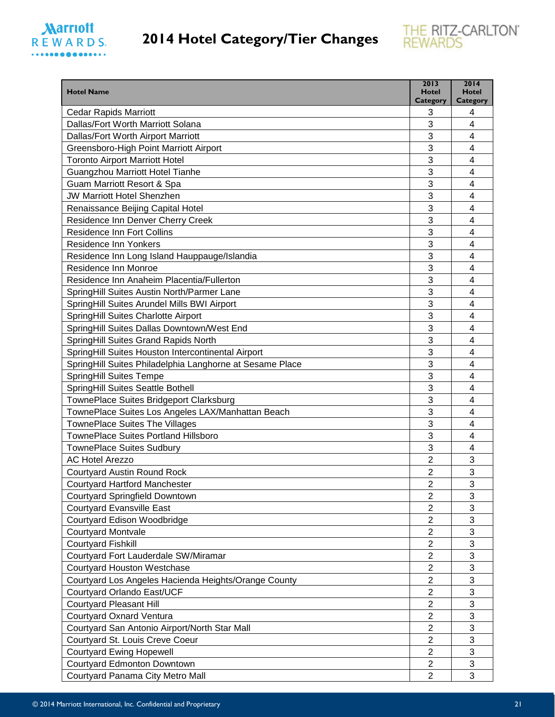

| Category<br>Category<br><b>Cedar Rapids Marriott</b><br>3<br>4<br>3<br>Dallas/Fort Worth Marriott Solana<br>$\overline{4}$<br>Dallas/Fort Worth Airport Marriott<br>3<br>$\overline{4}$<br>3<br>Greensboro-High Point Marriott Airport<br>$\overline{4}$<br>3<br>$\overline{\mathbf{4}}$<br><b>Toronto Airport Marriott Hotel</b><br>3<br>$\overline{4}$<br>Guangzhou Marriott Hotel Tianhe<br>Guam Marriott Resort & Spa<br>3<br>4<br><b>JW Marriott Hotel Shenzhen</b><br>3<br>4<br>3<br>$\overline{4}$<br>Renaissance Beijing Capital Hotel<br>Residence Inn Denver Cherry Creek<br>3<br>$\overline{4}$<br>3<br><b>Residence Inn Fort Collins</b><br>$\overline{4}$<br>3<br>Residence Inn Yonkers<br>4<br>3<br>Residence Inn Long Island Hauppauge/Islandia<br>4<br>3<br>$\overline{\mathbf{4}}$<br>Residence Inn Monroe<br>3<br>Residence Inn Anaheim Placentia/Fullerton<br>$\overline{4}$<br>3<br>SpringHill Suites Austin North/Parmer Lane<br>$\overline{4}$<br>SpringHill Suites Arundel Mills BWI Airport<br>3<br>$\overline{4}$<br>3<br>SpringHill Suites Charlotte Airport<br>$\overline{4}$<br>SpringHill Suites Dallas Downtown/West End<br>3<br>4<br>3<br>SpringHill Suites Grand Rapids North<br>4<br>SpringHill Suites Houston Intercontinental Airport<br>3<br>$\overline{4}$<br>SpringHill Suites Philadelphia Langhorne at Sesame Place<br>3<br>$\overline{4}$<br>3<br>$\overline{4}$<br><b>SpringHill Suites Tempe</b><br>3<br>$\overline{4}$<br>SpringHill Suites Seattle Bothell<br>TownePlace Suites Bridgeport Clarksburg<br>3<br>4<br>3<br>TownePlace Suites Los Angeles LAX/Manhattan Beach<br>4<br><b>TownePlace Suites The Villages</b><br>3<br>$\overline{4}$<br>TownePlace Suites Portland Hillsboro<br>3<br>$\overline{4}$<br>3<br>$\overline{4}$<br><b>TownePlace Suites Sudbury</b><br>3<br><b>AC Hotel Arezzo</b><br>$\overline{2}$<br>3<br><b>Courtyard Austin Round Rock</b><br>$\overline{c}$<br>3<br>2<br><b>Courtyard Hartford Manchester</b><br>$\overline{2}$<br>3<br><b>Courtyard Springfield Downtown</b><br>3<br><b>Courtyard Evansville East</b><br>2<br>3<br>$\overline{2}$<br>Courtyard Edison Woodbridge<br>3<br>$\overline{c}$<br><b>Courtyard Montvale</b><br>3<br><b>Courtyard Fishkill</b><br>$\overline{2}$<br>3<br>$\overline{2}$<br>Courtyard Fort Lauderdale SW/Miramar<br>3<br><b>Courtyard Houston Westchase</b><br>$\overline{c}$<br>$\overline{2}$<br>$\sqrt{3}$<br>Courtyard Los Angeles Hacienda Heights/Orange County<br>3<br>$\overline{c}$<br>Courtyard Orlando East/UCF<br>3<br>$\overline{2}$<br>Courtyard Pleasant Hill<br>3<br><b>Courtyard Oxnard Ventura</b><br>$\overline{\mathbf{c}}$<br>3<br>2<br>Courtyard San Antonio Airport/North Star Mall<br>$\mathfrak{S}$<br>$\overline{2}$<br>Courtyard St. Louis Creve Coeur<br>3<br><b>Courtyard Ewing Hopewell</b><br>$\overline{2}$<br>3<br>$\overline{2}$<br>Courtyard Edmonton Downtown | <b>Hotel Name</b>                | 2013<br><b>Hotel</b> | 2014<br><b>Hotel</b> |
|-------------------------------------------------------------------------------------------------------------------------------------------------------------------------------------------------------------------------------------------------------------------------------------------------------------------------------------------------------------------------------------------------------------------------------------------------------------------------------------------------------------------------------------------------------------------------------------------------------------------------------------------------------------------------------------------------------------------------------------------------------------------------------------------------------------------------------------------------------------------------------------------------------------------------------------------------------------------------------------------------------------------------------------------------------------------------------------------------------------------------------------------------------------------------------------------------------------------------------------------------------------------------------------------------------------------------------------------------------------------------------------------------------------------------------------------------------------------------------------------------------------------------------------------------------------------------------------------------------------------------------------------------------------------------------------------------------------------------------------------------------------------------------------------------------------------------------------------------------------------------------------------------------------------------------------------------------------------------------------------------------------------------------------------------------------------------------------------------------------------------------------------------------------------------------------------------------------------------------------------------------------------------------------------------------------------------------------------------------------------------------------------------------------------------------------------------------------------------------------------------------------------------------------------------------------------------------------------------------------------------------------------------------------------------------------------------------------------------------------------------------------------------------------------------------------------------------------------------------------------------------------------------------------------|----------------------------------|----------------------|----------------------|
|                                                                                                                                                                                                                                                                                                                                                                                                                                                                                                                                                                                                                                                                                                                                                                                                                                                                                                                                                                                                                                                                                                                                                                                                                                                                                                                                                                                                                                                                                                                                                                                                                                                                                                                                                                                                                                                                                                                                                                                                                                                                                                                                                                                                                                                                                                                                                                                                                                                                                                                                                                                                                                                                                                                                                                                                                                                                                                                   |                                  |                      |                      |
|                                                                                                                                                                                                                                                                                                                                                                                                                                                                                                                                                                                                                                                                                                                                                                                                                                                                                                                                                                                                                                                                                                                                                                                                                                                                                                                                                                                                                                                                                                                                                                                                                                                                                                                                                                                                                                                                                                                                                                                                                                                                                                                                                                                                                                                                                                                                                                                                                                                                                                                                                                                                                                                                                                                                                                                                                                                                                                                   |                                  |                      |                      |
|                                                                                                                                                                                                                                                                                                                                                                                                                                                                                                                                                                                                                                                                                                                                                                                                                                                                                                                                                                                                                                                                                                                                                                                                                                                                                                                                                                                                                                                                                                                                                                                                                                                                                                                                                                                                                                                                                                                                                                                                                                                                                                                                                                                                                                                                                                                                                                                                                                                                                                                                                                                                                                                                                                                                                                                                                                                                                                                   |                                  |                      |                      |
|                                                                                                                                                                                                                                                                                                                                                                                                                                                                                                                                                                                                                                                                                                                                                                                                                                                                                                                                                                                                                                                                                                                                                                                                                                                                                                                                                                                                                                                                                                                                                                                                                                                                                                                                                                                                                                                                                                                                                                                                                                                                                                                                                                                                                                                                                                                                                                                                                                                                                                                                                                                                                                                                                                                                                                                                                                                                                                                   |                                  |                      |                      |
|                                                                                                                                                                                                                                                                                                                                                                                                                                                                                                                                                                                                                                                                                                                                                                                                                                                                                                                                                                                                                                                                                                                                                                                                                                                                                                                                                                                                                                                                                                                                                                                                                                                                                                                                                                                                                                                                                                                                                                                                                                                                                                                                                                                                                                                                                                                                                                                                                                                                                                                                                                                                                                                                                                                                                                                                                                                                                                                   |                                  |                      |                      |
|                                                                                                                                                                                                                                                                                                                                                                                                                                                                                                                                                                                                                                                                                                                                                                                                                                                                                                                                                                                                                                                                                                                                                                                                                                                                                                                                                                                                                                                                                                                                                                                                                                                                                                                                                                                                                                                                                                                                                                                                                                                                                                                                                                                                                                                                                                                                                                                                                                                                                                                                                                                                                                                                                                                                                                                                                                                                                                                   |                                  |                      |                      |
|                                                                                                                                                                                                                                                                                                                                                                                                                                                                                                                                                                                                                                                                                                                                                                                                                                                                                                                                                                                                                                                                                                                                                                                                                                                                                                                                                                                                                                                                                                                                                                                                                                                                                                                                                                                                                                                                                                                                                                                                                                                                                                                                                                                                                                                                                                                                                                                                                                                                                                                                                                                                                                                                                                                                                                                                                                                                                                                   |                                  |                      |                      |
|                                                                                                                                                                                                                                                                                                                                                                                                                                                                                                                                                                                                                                                                                                                                                                                                                                                                                                                                                                                                                                                                                                                                                                                                                                                                                                                                                                                                                                                                                                                                                                                                                                                                                                                                                                                                                                                                                                                                                                                                                                                                                                                                                                                                                                                                                                                                                                                                                                                                                                                                                                                                                                                                                                                                                                                                                                                                                                                   |                                  |                      |                      |
|                                                                                                                                                                                                                                                                                                                                                                                                                                                                                                                                                                                                                                                                                                                                                                                                                                                                                                                                                                                                                                                                                                                                                                                                                                                                                                                                                                                                                                                                                                                                                                                                                                                                                                                                                                                                                                                                                                                                                                                                                                                                                                                                                                                                                                                                                                                                                                                                                                                                                                                                                                                                                                                                                                                                                                                                                                                                                                                   |                                  |                      |                      |
|                                                                                                                                                                                                                                                                                                                                                                                                                                                                                                                                                                                                                                                                                                                                                                                                                                                                                                                                                                                                                                                                                                                                                                                                                                                                                                                                                                                                                                                                                                                                                                                                                                                                                                                                                                                                                                                                                                                                                                                                                                                                                                                                                                                                                                                                                                                                                                                                                                                                                                                                                                                                                                                                                                                                                                                                                                                                                                                   |                                  |                      |                      |
|                                                                                                                                                                                                                                                                                                                                                                                                                                                                                                                                                                                                                                                                                                                                                                                                                                                                                                                                                                                                                                                                                                                                                                                                                                                                                                                                                                                                                                                                                                                                                                                                                                                                                                                                                                                                                                                                                                                                                                                                                                                                                                                                                                                                                                                                                                                                                                                                                                                                                                                                                                                                                                                                                                                                                                                                                                                                                                                   |                                  |                      |                      |
|                                                                                                                                                                                                                                                                                                                                                                                                                                                                                                                                                                                                                                                                                                                                                                                                                                                                                                                                                                                                                                                                                                                                                                                                                                                                                                                                                                                                                                                                                                                                                                                                                                                                                                                                                                                                                                                                                                                                                                                                                                                                                                                                                                                                                                                                                                                                                                                                                                                                                                                                                                                                                                                                                                                                                                                                                                                                                                                   |                                  |                      |                      |
|                                                                                                                                                                                                                                                                                                                                                                                                                                                                                                                                                                                                                                                                                                                                                                                                                                                                                                                                                                                                                                                                                                                                                                                                                                                                                                                                                                                                                                                                                                                                                                                                                                                                                                                                                                                                                                                                                                                                                                                                                                                                                                                                                                                                                                                                                                                                                                                                                                                                                                                                                                                                                                                                                                                                                                                                                                                                                                                   |                                  |                      |                      |
|                                                                                                                                                                                                                                                                                                                                                                                                                                                                                                                                                                                                                                                                                                                                                                                                                                                                                                                                                                                                                                                                                                                                                                                                                                                                                                                                                                                                                                                                                                                                                                                                                                                                                                                                                                                                                                                                                                                                                                                                                                                                                                                                                                                                                                                                                                                                                                                                                                                                                                                                                                                                                                                                                                                                                                                                                                                                                                                   |                                  |                      |                      |
|                                                                                                                                                                                                                                                                                                                                                                                                                                                                                                                                                                                                                                                                                                                                                                                                                                                                                                                                                                                                                                                                                                                                                                                                                                                                                                                                                                                                                                                                                                                                                                                                                                                                                                                                                                                                                                                                                                                                                                                                                                                                                                                                                                                                                                                                                                                                                                                                                                                                                                                                                                                                                                                                                                                                                                                                                                                                                                                   |                                  |                      |                      |
|                                                                                                                                                                                                                                                                                                                                                                                                                                                                                                                                                                                                                                                                                                                                                                                                                                                                                                                                                                                                                                                                                                                                                                                                                                                                                                                                                                                                                                                                                                                                                                                                                                                                                                                                                                                                                                                                                                                                                                                                                                                                                                                                                                                                                                                                                                                                                                                                                                                                                                                                                                                                                                                                                                                                                                                                                                                                                                                   |                                  |                      |                      |
|                                                                                                                                                                                                                                                                                                                                                                                                                                                                                                                                                                                                                                                                                                                                                                                                                                                                                                                                                                                                                                                                                                                                                                                                                                                                                                                                                                                                                                                                                                                                                                                                                                                                                                                                                                                                                                                                                                                                                                                                                                                                                                                                                                                                                                                                                                                                                                                                                                                                                                                                                                                                                                                                                                                                                                                                                                                                                                                   |                                  |                      |                      |
|                                                                                                                                                                                                                                                                                                                                                                                                                                                                                                                                                                                                                                                                                                                                                                                                                                                                                                                                                                                                                                                                                                                                                                                                                                                                                                                                                                                                                                                                                                                                                                                                                                                                                                                                                                                                                                                                                                                                                                                                                                                                                                                                                                                                                                                                                                                                                                                                                                                                                                                                                                                                                                                                                                                                                                                                                                                                                                                   |                                  |                      |                      |
|                                                                                                                                                                                                                                                                                                                                                                                                                                                                                                                                                                                                                                                                                                                                                                                                                                                                                                                                                                                                                                                                                                                                                                                                                                                                                                                                                                                                                                                                                                                                                                                                                                                                                                                                                                                                                                                                                                                                                                                                                                                                                                                                                                                                                                                                                                                                                                                                                                                                                                                                                                                                                                                                                                                                                                                                                                                                                                                   |                                  |                      |                      |
|                                                                                                                                                                                                                                                                                                                                                                                                                                                                                                                                                                                                                                                                                                                                                                                                                                                                                                                                                                                                                                                                                                                                                                                                                                                                                                                                                                                                                                                                                                                                                                                                                                                                                                                                                                                                                                                                                                                                                                                                                                                                                                                                                                                                                                                                                                                                                                                                                                                                                                                                                                                                                                                                                                                                                                                                                                                                                                                   |                                  |                      |                      |
|                                                                                                                                                                                                                                                                                                                                                                                                                                                                                                                                                                                                                                                                                                                                                                                                                                                                                                                                                                                                                                                                                                                                                                                                                                                                                                                                                                                                                                                                                                                                                                                                                                                                                                                                                                                                                                                                                                                                                                                                                                                                                                                                                                                                                                                                                                                                                                                                                                                                                                                                                                                                                                                                                                                                                                                                                                                                                                                   |                                  |                      |                      |
|                                                                                                                                                                                                                                                                                                                                                                                                                                                                                                                                                                                                                                                                                                                                                                                                                                                                                                                                                                                                                                                                                                                                                                                                                                                                                                                                                                                                                                                                                                                                                                                                                                                                                                                                                                                                                                                                                                                                                                                                                                                                                                                                                                                                                                                                                                                                                                                                                                                                                                                                                                                                                                                                                                                                                                                                                                                                                                                   |                                  |                      |                      |
|                                                                                                                                                                                                                                                                                                                                                                                                                                                                                                                                                                                                                                                                                                                                                                                                                                                                                                                                                                                                                                                                                                                                                                                                                                                                                                                                                                                                                                                                                                                                                                                                                                                                                                                                                                                                                                                                                                                                                                                                                                                                                                                                                                                                                                                                                                                                                                                                                                                                                                                                                                                                                                                                                                                                                                                                                                                                                                                   |                                  |                      |                      |
|                                                                                                                                                                                                                                                                                                                                                                                                                                                                                                                                                                                                                                                                                                                                                                                                                                                                                                                                                                                                                                                                                                                                                                                                                                                                                                                                                                                                                                                                                                                                                                                                                                                                                                                                                                                                                                                                                                                                                                                                                                                                                                                                                                                                                                                                                                                                                                                                                                                                                                                                                                                                                                                                                                                                                                                                                                                                                                                   |                                  |                      |                      |
|                                                                                                                                                                                                                                                                                                                                                                                                                                                                                                                                                                                                                                                                                                                                                                                                                                                                                                                                                                                                                                                                                                                                                                                                                                                                                                                                                                                                                                                                                                                                                                                                                                                                                                                                                                                                                                                                                                                                                                                                                                                                                                                                                                                                                                                                                                                                                                                                                                                                                                                                                                                                                                                                                                                                                                                                                                                                                                                   |                                  |                      |                      |
|                                                                                                                                                                                                                                                                                                                                                                                                                                                                                                                                                                                                                                                                                                                                                                                                                                                                                                                                                                                                                                                                                                                                                                                                                                                                                                                                                                                                                                                                                                                                                                                                                                                                                                                                                                                                                                                                                                                                                                                                                                                                                                                                                                                                                                                                                                                                                                                                                                                                                                                                                                                                                                                                                                                                                                                                                                                                                                                   |                                  |                      |                      |
|                                                                                                                                                                                                                                                                                                                                                                                                                                                                                                                                                                                                                                                                                                                                                                                                                                                                                                                                                                                                                                                                                                                                                                                                                                                                                                                                                                                                                                                                                                                                                                                                                                                                                                                                                                                                                                                                                                                                                                                                                                                                                                                                                                                                                                                                                                                                                                                                                                                                                                                                                                                                                                                                                                                                                                                                                                                                                                                   |                                  |                      |                      |
|                                                                                                                                                                                                                                                                                                                                                                                                                                                                                                                                                                                                                                                                                                                                                                                                                                                                                                                                                                                                                                                                                                                                                                                                                                                                                                                                                                                                                                                                                                                                                                                                                                                                                                                                                                                                                                                                                                                                                                                                                                                                                                                                                                                                                                                                                                                                                                                                                                                                                                                                                                                                                                                                                                                                                                                                                                                                                                                   |                                  |                      |                      |
|                                                                                                                                                                                                                                                                                                                                                                                                                                                                                                                                                                                                                                                                                                                                                                                                                                                                                                                                                                                                                                                                                                                                                                                                                                                                                                                                                                                                                                                                                                                                                                                                                                                                                                                                                                                                                                                                                                                                                                                                                                                                                                                                                                                                                                                                                                                                                                                                                                                                                                                                                                                                                                                                                                                                                                                                                                                                                                                   |                                  |                      |                      |
|                                                                                                                                                                                                                                                                                                                                                                                                                                                                                                                                                                                                                                                                                                                                                                                                                                                                                                                                                                                                                                                                                                                                                                                                                                                                                                                                                                                                                                                                                                                                                                                                                                                                                                                                                                                                                                                                                                                                                                                                                                                                                                                                                                                                                                                                                                                                                                                                                                                                                                                                                                                                                                                                                                                                                                                                                                                                                                                   |                                  |                      |                      |
|                                                                                                                                                                                                                                                                                                                                                                                                                                                                                                                                                                                                                                                                                                                                                                                                                                                                                                                                                                                                                                                                                                                                                                                                                                                                                                                                                                                                                                                                                                                                                                                                                                                                                                                                                                                                                                                                                                                                                                                                                                                                                                                                                                                                                                                                                                                                                                                                                                                                                                                                                                                                                                                                                                                                                                                                                                                                                                                   |                                  |                      |                      |
|                                                                                                                                                                                                                                                                                                                                                                                                                                                                                                                                                                                                                                                                                                                                                                                                                                                                                                                                                                                                                                                                                                                                                                                                                                                                                                                                                                                                                                                                                                                                                                                                                                                                                                                                                                                                                                                                                                                                                                                                                                                                                                                                                                                                                                                                                                                                                                                                                                                                                                                                                                                                                                                                                                                                                                                                                                                                                                                   |                                  |                      |                      |
|                                                                                                                                                                                                                                                                                                                                                                                                                                                                                                                                                                                                                                                                                                                                                                                                                                                                                                                                                                                                                                                                                                                                                                                                                                                                                                                                                                                                                                                                                                                                                                                                                                                                                                                                                                                                                                                                                                                                                                                                                                                                                                                                                                                                                                                                                                                                                                                                                                                                                                                                                                                                                                                                                                                                                                                                                                                                                                                   |                                  |                      |                      |
|                                                                                                                                                                                                                                                                                                                                                                                                                                                                                                                                                                                                                                                                                                                                                                                                                                                                                                                                                                                                                                                                                                                                                                                                                                                                                                                                                                                                                                                                                                                                                                                                                                                                                                                                                                                                                                                                                                                                                                                                                                                                                                                                                                                                                                                                                                                                                                                                                                                                                                                                                                                                                                                                                                                                                                                                                                                                                                                   |                                  |                      |                      |
|                                                                                                                                                                                                                                                                                                                                                                                                                                                                                                                                                                                                                                                                                                                                                                                                                                                                                                                                                                                                                                                                                                                                                                                                                                                                                                                                                                                                                                                                                                                                                                                                                                                                                                                                                                                                                                                                                                                                                                                                                                                                                                                                                                                                                                                                                                                                                                                                                                                                                                                                                                                                                                                                                                                                                                                                                                                                                                                   |                                  |                      |                      |
|                                                                                                                                                                                                                                                                                                                                                                                                                                                                                                                                                                                                                                                                                                                                                                                                                                                                                                                                                                                                                                                                                                                                                                                                                                                                                                                                                                                                                                                                                                                                                                                                                                                                                                                                                                                                                                                                                                                                                                                                                                                                                                                                                                                                                                                                                                                                                                                                                                                                                                                                                                                                                                                                                                                                                                                                                                                                                                                   |                                  |                      |                      |
|                                                                                                                                                                                                                                                                                                                                                                                                                                                                                                                                                                                                                                                                                                                                                                                                                                                                                                                                                                                                                                                                                                                                                                                                                                                                                                                                                                                                                                                                                                                                                                                                                                                                                                                                                                                                                                                                                                                                                                                                                                                                                                                                                                                                                                                                                                                                                                                                                                                                                                                                                                                                                                                                                                                                                                                                                                                                                                                   |                                  |                      |                      |
|                                                                                                                                                                                                                                                                                                                                                                                                                                                                                                                                                                                                                                                                                                                                                                                                                                                                                                                                                                                                                                                                                                                                                                                                                                                                                                                                                                                                                                                                                                                                                                                                                                                                                                                                                                                                                                                                                                                                                                                                                                                                                                                                                                                                                                                                                                                                                                                                                                                                                                                                                                                                                                                                                                                                                                                                                                                                                                                   |                                  |                      |                      |
|                                                                                                                                                                                                                                                                                                                                                                                                                                                                                                                                                                                                                                                                                                                                                                                                                                                                                                                                                                                                                                                                                                                                                                                                                                                                                                                                                                                                                                                                                                                                                                                                                                                                                                                                                                                                                                                                                                                                                                                                                                                                                                                                                                                                                                                                                                                                                                                                                                                                                                                                                                                                                                                                                                                                                                                                                                                                                                                   |                                  |                      |                      |
|                                                                                                                                                                                                                                                                                                                                                                                                                                                                                                                                                                                                                                                                                                                                                                                                                                                                                                                                                                                                                                                                                                                                                                                                                                                                                                                                                                                                                                                                                                                                                                                                                                                                                                                                                                                                                                                                                                                                                                                                                                                                                                                                                                                                                                                                                                                                                                                                                                                                                                                                                                                                                                                                                                                                                                                                                                                                                                                   |                                  |                      |                      |
|                                                                                                                                                                                                                                                                                                                                                                                                                                                                                                                                                                                                                                                                                                                                                                                                                                                                                                                                                                                                                                                                                                                                                                                                                                                                                                                                                                                                                                                                                                                                                                                                                                                                                                                                                                                                                                                                                                                                                                                                                                                                                                                                                                                                                                                                                                                                                                                                                                                                                                                                                                                                                                                                                                                                                                                                                                                                                                                   |                                  |                      |                      |
|                                                                                                                                                                                                                                                                                                                                                                                                                                                                                                                                                                                                                                                                                                                                                                                                                                                                                                                                                                                                                                                                                                                                                                                                                                                                                                                                                                                                                                                                                                                                                                                                                                                                                                                                                                                                                                                                                                                                                                                                                                                                                                                                                                                                                                                                                                                                                                                                                                                                                                                                                                                                                                                                                                                                                                                                                                                                                                                   |                                  |                      |                      |
|                                                                                                                                                                                                                                                                                                                                                                                                                                                                                                                                                                                                                                                                                                                                                                                                                                                                                                                                                                                                                                                                                                                                                                                                                                                                                                                                                                                                                                                                                                                                                                                                                                                                                                                                                                                                                                                                                                                                                                                                                                                                                                                                                                                                                                                                                                                                                                                                                                                                                                                                                                                                                                                                                                                                                                                                                                                                                                                   |                                  |                      |                      |
|                                                                                                                                                                                                                                                                                                                                                                                                                                                                                                                                                                                                                                                                                                                                                                                                                                                                                                                                                                                                                                                                                                                                                                                                                                                                                                                                                                                                                                                                                                                                                                                                                                                                                                                                                                                                                                                                                                                                                                                                                                                                                                                                                                                                                                                                                                                                                                                                                                                                                                                                                                                                                                                                                                                                                                                                                                                                                                                   |                                  |                      |                      |
|                                                                                                                                                                                                                                                                                                                                                                                                                                                                                                                                                                                                                                                                                                                                                                                                                                                                                                                                                                                                                                                                                                                                                                                                                                                                                                                                                                                                                                                                                                                                                                                                                                                                                                                                                                                                                                                                                                                                                                                                                                                                                                                                                                                                                                                                                                                                                                                                                                                                                                                                                                                                                                                                                                                                                                                                                                                                                                                   |                                  |                      |                      |
|                                                                                                                                                                                                                                                                                                                                                                                                                                                                                                                                                                                                                                                                                                                                                                                                                                                                                                                                                                                                                                                                                                                                                                                                                                                                                                                                                                                                                                                                                                                                                                                                                                                                                                                                                                                                                                                                                                                                                                                                                                                                                                                                                                                                                                                                                                                                                                                                                                                                                                                                                                                                                                                                                                                                                                                                                                                                                                                   |                                  |                      |                      |
|                                                                                                                                                                                                                                                                                                                                                                                                                                                                                                                                                                                                                                                                                                                                                                                                                                                                                                                                                                                                                                                                                                                                                                                                                                                                                                                                                                                                                                                                                                                                                                                                                                                                                                                                                                                                                                                                                                                                                                                                                                                                                                                                                                                                                                                                                                                                                                                                                                                                                                                                                                                                                                                                                                                                                                                                                                                                                                                   |                                  |                      |                      |
|                                                                                                                                                                                                                                                                                                                                                                                                                                                                                                                                                                                                                                                                                                                                                                                                                                                                                                                                                                                                                                                                                                                                                                                                                                                                                                                                                                                                                                                                                                                                                                                                                                                                                                                                                                                                                                                                                                                                                                                                                                                                                                                                                                                                                                                                                                                                                                                                                                                                                                                                                                                                                                                                                                                                                                                                                                                                                                                   |                                  |                      |                      |
|                                                                                                                                                                                                                                                                                                                                                                                                                                                                                                                                                                                                                                                                                                                                                                                                                                                                                                                                                                                                                                                                                                                                                                                                                                                                                                                                                                                                                                                                                                                                                                                                                                                                                                                                                                                                                                                                                                                                                                                                                                                                                                                                                                                                                                                                                                                                                                                                                                                                                                                                                                                                                                                                                                                                                                                                                                                                                                                   | Courtyard Panama City Metro Mall | $\overline{2}$       | 3                    |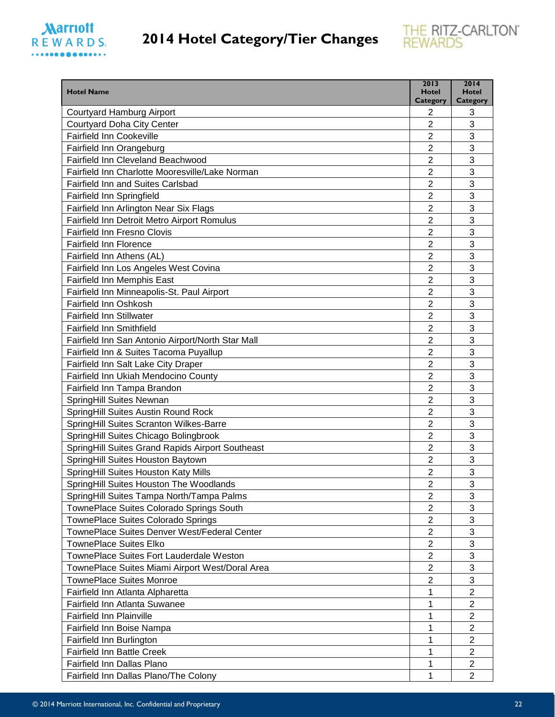



| <b>Hotel Name</b>                                 | 2013<br><b>Hotel</b> | 2014<br><b>Hotel</b> |
|---------------------------------------------------|----------------------|----------------------|
| <b>Courtyard Hamburg Airport</b>                  | Category<br>2        | Category<br>3        |
| Courtyard Doha City Center                        | $\overline{2}$       | 3                    |
| <b>Fairfield Inn Cookeville</b>                   | 2                    | 3                    |
| Fairfield Inn Orangeburg                          | $\overline{2}$       | 3                    |
| Fairfield Inn Cleveland Beachwood                 | $\overline{2}$       | 3                    |
| Fairfield Inn Charlotte Mooresville/Lake Norman   | $\overline{2}$       | 3                    |
| Fairfield Inn and Suites Carlsbad                 | $\overline{2}$       | 3                    |
| Fairfield Inn Springfield                         | 2                    | 3                    |
| Fairfield Inn Arlington Near Six Flags            | $\overline{2}$       | 3                    |
| Fairfield Inn Detroit Metro Airport Romulus       | $\overline{2}$       | 3                    |
| <b>Fairfield Inn Fresno Clovis</b>                | $\overline{2}$       | 3                    |
| <b>Fairfield Inn Florence</b>                     | 2                    | 3                    |
| Fairfield Inn Athens (AL)                         | $\overline{2}$       | 3                    |
| Fairfield Inn Los Angeles West Covina             | $\overline{2}$       | 3                    |
| <b>Fairfield Inn Memphis East</b>                 | $\overline{2}$       | 3                    |
| Fairfield Inn Minneapolis-St. Paul Airport        | $\overline{2}$       | 3                    |
| Fairfield Inn Oshkosh                             | $\overline{2}$       | 3                    |
| Fairfield Inn Stillwater                          | $\overline{2}$       | 3                    |
| <b>Fairfield Inn Smithfield</b>                   | $\overline{2}$       | 3                    |
| Fairfield Inn San Antonio Airport/North Star Mall | $\overline{2}$       | 3                    |
| Fairfield Inn & Suites Tacoma Puyallup            | $\overline{2}$       | 3                    |
| Fairfield Inn Salt Lake City Draper               | 2                    | 3                    |
| Fairfield Inn Ukiah Mendocino County              | 2                    | 3                    |
| Fairfield Inn Tampa Brandon                       | $\overline{2}$       | 3                    |
| SpringHill Suites Newnan                          | 2                    | 3                    |
| SpringHill Suites Austin Round Rock               | $\overline{2}$       | 3                    |
| SpringHill Suites Scranton Wilkes-Barre           | $\overline{2}$       | 3                    |
| SpringHill Suites Chicago Bolingbrook             | $\overline{2}$       | 3                    |
| SpringHill Suites Grand Rapids Airport Southeast  | $\overline{2}$       | 3                    |
| SpringHill Suites Houston Baytown                 | $\overline{2}$       | 3                    |
| SpringHill Suites Houston Katy Mills              | $\overline{c}$       | 3                    |
| SpringHill Suites Houston The Woodlands           | 2                    | 3                    |
| SpringHill Suites Tampa North/Tampa Palms         | $\overline{2}$       | 3                    |
| TownePlace Suites Colorado Springs South          | $\overline{2}$       | 3                    |
| TownePlace Suites Colorado Springs                | $\overline{2}$       | 3                    |
| TownePlace Suites Denver West/Federal Center      | $\overline{2}$       | 3                    |
| <b>TownePlace Suites Elko</b>                     | $\overline{2}$       | 3                    |
| TownePlace Suites Fort Lauderdale Weston          | $\overline{2}$       | 3                    |
| TownePlace Suites Miami Airport West/Doral Area   | $\overline{c}$       | 3                    |
| <b>TownePlace Suites Monroe</b>                   | $\overline{2}$       | 3                    |
| Fairfield Inn Atlanta Alpharetta                  | 1                    | $\overline{2}$       |
| Fairfield Inn Atlanta Suwanee                     | 1                    | $\overline{2}$       |
| Fairfield Inn Plainville                          | 1                    | 2                    |
| Fairfield Inn Boise Nampa                         | 1                    | 2                    |
| Fairfield Inn Burlington                          | 1                    | $\overline{2}$       |
| <b>Fairfield Inn Battle Creek</b>                 | 1                    | $\overline{2}$       |
| Fairfield Inn Dallas Plano                        | 1                    | $\overline{2}$       |
| Fairfield Inn Dallas Plano/The Colony             | 1                    | $\overline{2}$       |